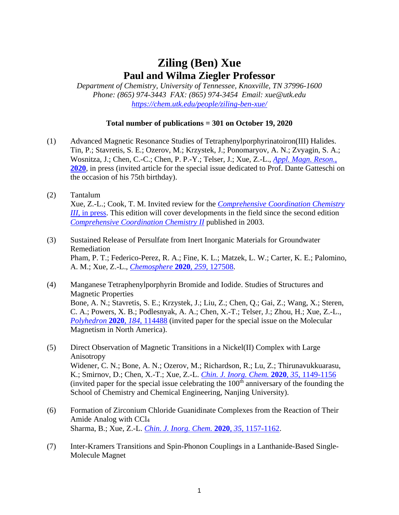## **Ziling (Ben) Xue Paul and Wilma Ziegler Professor**

*Department of Chemistry, University of Tennessee, Knoxville, TN 37996-1600 Phone: (865) 974-3443 FAX: (865) 974-3454 Email: xue@utk.edu <https://chem.utk.edu/people/ziling-ben-xue/>*

## **Total number of publications = 301 on October 19, 2020**

- (1) Advanced Magnetic Resonance Studies of Tetraphenylporphyrinatoiron(III) Halides. Tin, P.; Stavretis, S. E.; Ozerov, M.; Krzystek, J.; Ponomaryov, A. N.; Zvyagin, S. A.; Wosnitza, J.; Chen, C.-C.; Chen, P. P.-Y.; Telser, J.; Xue, Z.-L., *[Appl. Magn. Reson.](https://doi.org/10.1007/s00723-020-01236-8)*, **[2020](https://doi.org/10.1007/s00723-020-01236-8)**, in press (invited article for the special issue dedicated to Prof. Dante Gatteschi on the occasion of his 75th birthday).
- (2) Tantalum Xue, Z.-L.; Cook, T. M. Invited review for the *[Comprehensive Coordination Chemistry](https://doi.org/10.1016/B978-0-08-102688-5.00007-6)  III*[, in press.](https://doi.org/10.1016/B978-0-08-102688-5.00007-6) This edition will cover developments in the field since the second edition *[Comprehensive Coordination Chemistry II](https://www.sciencedirect.com/referencework/9780080437484/comprehensive-coordination-chemistry-ii)* published in 2003.
- (3) Sustained Release of Persulfate from Inert Inorganic Materials for Groundwater Remediation Pham, P. T.; Federico-Perez, R. A.; Fine, K. L.; Matzek, L. W.; Carter, K. E.; Palomino, A. M.; Xue, Z.-L., *[Chemosphere](https://doi.org/10.1016/j.chemosphere.2020.127508)* **2020**, *259*, 127508.
- (4) Manganese Tetraphenylporphyrin Bromide and Iodide. Studies of Structures and Magnetic Properties Bone, A. N.; Stavretis, S. E.; Krzystek, J.; Liu, Z.; Chen, Q.; Gai, Z.; Wang, X.; Steren, C. A.; Powers, X. B.; Podlesnyak, A. A.; Chen, X.-T.; Telser, J.; Zhou, H.; Xue, Z.-L., *[Polyhedron](https://doi.org/10.1016/j.poly.2020.114488)* **2020**, *184*, 114488 (invited paper for the special issue on the Molecular Magnetism in North America).
- (5) Direct Observation of Magnetic Transitions in a Nickel(II) Complex with Large Anisotropy Widener, C. N.; Bone, A. N.; Ozerov, M.; Richardson, R.; Lu, Z.; Thirunavukkuarasu, K.; Smirnov, D.; Chen, X.-T.; Xue, Z.-L. *[Chin. J. Inorg. Chem.](http://doi.org/10.11862/CJIC.2020.126)* **2020**, *35*, 1149-1156 (invited paper for the special issue celebrating the  $100<sup>th</sup>$  anniversary of the founding the School of Chemistry and Chemical Engineering, Nanjing University).
- (6) Formation of Zirconium Chloride Guanidinate Complexes from the Reaction of Their Amide Analog with CCl<sup>4</sup> Sharma, B.; Xue, Z.-L. *[Chin. J. Inorg. Chem.](http://doi.org/10.11862/CJIC.2020.129)* **2020**, *35*, 1157-1162.
- (7) Inter-Kramers Transitions and Spin-Phonon Couplings in a Lanthanide-Based Single-Molecule Magnet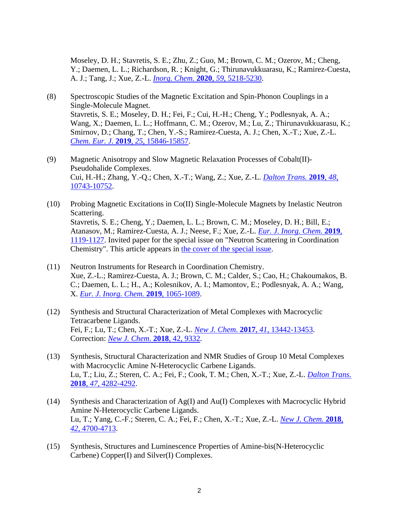Moseley, D. H.; Stavretis, S. E.; Zhu, Z.; Guo, M.; Brown, C. M.; Ozerov, M.; Cheng, Y.; Daemen, L. L.; Richardson, R. ; Knight, G.; Thirunavukkuarasu, K.; Ramirez-Cuesta, A. J.; Tang, J.; Xue, Z.-L. *[Inorg. Chem.](https://pubs.acs.org/doi/10.1021/acs.inorgchem.0c00523?ref=pdf)* **2020**, *59*, 5218-5230.

- (8) Spectroscopic Studies of the Magnetic Excitation and Spin-Phonon Couplings in a Single-Molecule Magnet. Stavretis, S. E.; Moseley, D. H.; Fei, F.; Cui, H.-H.; Cheng, Y.; Podlesnyak, A. A.; Wang, X.; Daemen, L. L.; Hoffmann, C. M.; Ozerov, M.; Lu, Z.; Thirunavukkuarasu, K.; Smirnov, D.; Chang, T.; Chen, Y.-S.; Ramirez-Cuesta, A. J.; Chen, X.-T.; Xue, Z.-L. *Chem. Eur. J.* **2019**, *25*[, 15846-15857.](https://onlinelibrary.wiley.com/doi/full/10.1002/chem.201903635)
- (9) Magnetic Anisotropy and Slow Magnetic Relaxation Processes of Cobalt(II)- Pseudohalide Complexes. Cui, H.-H.; Zhang, Y.-Q.; Chen, X.-T.; Wang, Z.; Xue, Z.-L. *[Dalton Trans.](https://pubs.rsc.org/en/content/articlelanding/2019/dt/c9dt00644c#!divAbstract)* **2019**, *48*, [10743-10752.](https://pubs.rsc.org/en/content/articlelanding/2019/dt/c9dt00644c#!divAbstract)
- (10) Probing Magnetic Excitations in Co(II) Single-Molecule Magnets by Inelastic Neutron Scattering. Stavretis, S. E.; Cheng, Y.; Daemen, L. L.; Brown, C. M.; Moseley, D. H.; Bill, E.; Atanasov, M.; Ramirez-Cuesta, A. J.; Neese, F.; Xue, Z.-L. *[Eur. J. Inorg. Chem.](https://onlinelibrary.wiley.com/action/doSearch?AllField=Stavretis&SeriesKey=10990682c)* **2019**, [1119-1127.](https://onlinelibrary.wiley.com/action/doSearch?AllField=Stavretis&SeriesKey=10990682c) Invited paper for the special issue on "Neutron Scattering in Coordination Chemistry". This article appears in [the cover of the special issue.](https://onlinelibrary.wiley.com/doi/full/10.1002/ejic.201900142)
- (11) Neutron Instruments for Research in Coordination Chemistry. Xue, Z.-L.; Ramirez-Cuesta, A. J.; Brown, C. M.; Calder, S.; Cao, H.; Chakoumakos, B. C.; Daemen, L. L.; H., A.; Kolesnikov, A. I.; Mamontov, E.; Podlesnyak, A. A.; Wang, X. *[Eur. J. Inorg. Chem.](https://onlinelibrary.wiley.com/doi/10.1002/ejic.201801076)* **2019**, 1065-1089.
- (12) Synthesis and Structural Characterization of Metal Complexes with Macrocyclic Tetracarbene Ligands. Fei, F.; Lu, T.; Chen, X.-T.; Xue, Z.-L. *New J. Chem.* **2017**, *41*[, 13442-13453.](http://pubs.rsc.org/en/content/articlelanding/2017/nj/c7nj02485a#!divAbstract) Correction: *[New J. Chem](http://pubs.rsc.org/en/content/articlelanding/2018/nj/c8nj90041h#!divAbstract)*. **2018**, 42, 9332.
- (13) Synthesis, Structural Characterization and NMR Studies of Group 10 Metal Complexes with Macrocyclic Amine N-Heterocyclic Carbene Ligands. Lu, T.; Liu, Z.; Steren, C. A.; Fei, F.; Cook, T. M.; Chen, X.-T.; Xue, Z.-L. *[Dalton Trans.](http://pubs.rsc.org/en/content/articlelanding/2018/dt/c7dt04666a#!divAbstract)* **2018**, *47*[, 4282-4292.](http://pubs.rsc.org/en/content/articlelanding/2018/dt/c7dt04666a#!divAbstract)
- (14) Synthesis and Characterization of Ag(I) and Au(I) Complexes with Macrocyclic Hybrid Amine N-Heterocyclic Carbene Ligands. Lu, T.; Yang, C.-F.; Steren, C. A.; Fei, F.; Chen, X.-T.; Xue, Z.-L. *[New J. Chem.](http://pubs.rsc.org/en/content/articlelanding/2018/nj/c7nj04020b#!divAbstract)* **2018**, *42*[, 4700-4713.](http://pubs.rsc.org/en/content/articlelanding/2018/nj/c7nj04020b#!divAbstract)
- (15) Synthesis, Structures and Luminescence Properties of Amine-bis(N-Heterocyclic Carbene) Copper(I) and Silver(I) Complexes.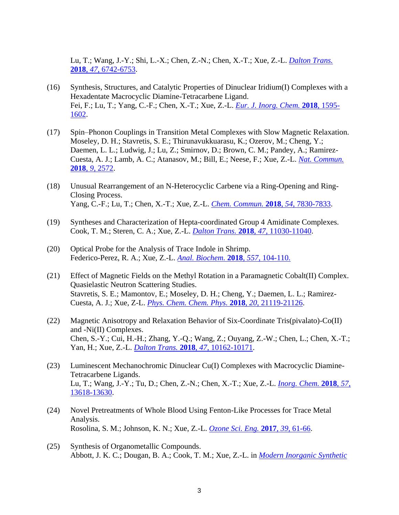Lu, T.; Wang, J.-Y.; Shi, L.-X.; Chen, Z.-N.; Chen, X.-T.; Xue, Z.-L. *[Dalton Trans.](http://pubs.rsc.org/en/content/articlelanding/2018/dt/c8dt00599k#!divAbstract)* **2018**, *47*[, 6742-6753.](http://pubs.rsc.org/en/content/articlelanding/2018/dt/c8dt00599k#!divAbstract)

- (16) Synthesis, Structures, and Catalytic Properties of Dinuclear Iridium(I) Complexes with a Hexadentate Macrocyclic Diamine-Tetracarbene Ligand. Fei, F.; Lu, T.; Yang, C.-F.; Chen, X.-T.; Xue, Z.-L. *[Eur. J. Inorg. Chem.](https://onlinelibrary.wiley.com/doi/abs/10.1002/ejic.201800088)* **2018**, 1595- [1602.](https://onlinelibrary.wiley.com/doi/abs/10.1002/ejic.201800088)
- (17) Spin–Phonon Couplings in Transition Metal Complexes with Slow Magnetic Relaxation. Moseley, D. H.; Stavretis, S. E.; Thirunavukkuarasu, K.; Ozerov, M.; Cheng, Y.; Daemen, L. L.; Ludwig, J.; Lu, Z.; Smirnov, D.; Brown, C. M.; Pandey, A.; Ramirez-Cuesta, A. J.; Lamb, A. C.; Atanasov, M.; Bill, E.; Neese, F.; Xue, Z.-L. *[Nat. Commun.](https://doi.org/10.1038/s41467-018-04896-0)*  **2018**, *9*[, 2572.](https://doi.org/10.1038/s41467-018-04896-0)
- (18) Unusual Rearrangement of an N-Heterocyclic Carbene via a Ring-Opening and Ring-Closing Process. Yang, C.-F.; Lu, T.; Chen, X.-T.; Xue, Z.-L. *Chem. Commun.* **2018**, *[54](https://pubs.rsc.org/en/content/articlelanding/2018/cc/c8cc03589j#!divAbstract)*, 7830-7833.
- (19) Syntheses and Characterization of Hepta-coordinated Group 4 Amidinate Complexes. Cook, T. M.; Steren, C. A.; Xue, Z.-L. *Dalton Trans.* **[2018](https://pubs.rsc.org/en/content/articlelanding/2018/dt/c8dt02523a#!divAbstract)**, *47*, 11030-11040.
- (20) Optical Probe for the Analysis of Trace Indole in Shrimp. Federico-Perez, R. A.; Xue, Z.-L. *[Anal. Biochem.](https://www.sciencedirect.com/science/article/pii/S0003269718302501)* **2018**, *557*, 104-110.
- (21) Effect of Magnetic Fields on the Methyl Rotation in a Paramagnetic Cobalt(II) Complex. Quasielastic Neutron Scattering Studies. Stavretis, S. E.; Mamontov, E.; Moseley, D. H.; Cheng, Y.; Daemen, L. L.; Ramirez-Cuesta, A. J.; Xue, Z-L. *[Phys. Chem. Chem. Phys.](http://pubs.rsc.org/en/content/articlelanding/2018/cp/c8cp01660g#!divAbstract)* **2018**, *20*, 21119-21126.
- (22) Magnetic Anisotropy and Relaxation Behavior of Six-Coordinate Tris(pivalato)-Co(II) and -Ni(II) Complexes. Chen, S.-Y.; Cui, H.-H.; Zhang, Y.-Q.; Wang, Z.; Ouyang, Z.-W.; Chen, L.; Chen, X.-T.; Yan, H.; Xue, Z.-L. *Dalton Trans.* **2018**, *47*[, 10162-10171.](https://pubs.rsc.org/en/content/articlelanding/2018/dt/c8dt01554f#!divAbstract)
- (23) Luminescent Mechanochromic Dinuclear Cu(I) Complexes with Macrocyclic Diamine-Tetracarbene Ligands. Lu, T.; Wang, J.-Y.; Tu, D.; Chen, Z.-N.; Chen, X.-T.; Xue, Z.-L. *[Inorg. Chem.](https://pubs.acs.org/doi/10.1021/acs.inorgchem.8b02217)* **2018**, *57*, [13618-13630.](https://pubs.acs.org/doi/10.1021/acs.inorgchem.8b02217)
- (24) Novel Pretreatments of Whole Blood Using Fenton-Like Processes for Trace Metal Analysis. Rosolina, S. M.; Johnson, K. N.; Xue, Z.-L. *[Ozone Sci. Eng.](http://dx.doi.org/10.1080/01919512.2016.1257382)* **2017**, *39*, 61-66.
- (25) Synthesis of Organometallic Compounds. Abbott, J. K. C.; Dougan, B. A.; Cook, T. M.; Xue, Z.-L. in *[Modern Inorganic Synthetic](https://www.elsevier.com/books/modern-inorganic-synthetic-chemistry/xu/978-0-444-63591-4)*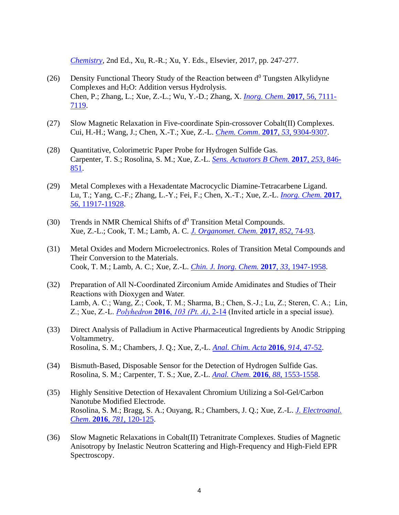*[Chemistry](https://www.elsevier.com/books/modern-inorganic-synthetic-chemistry/xu/978-0-444-63591-4)*, 2nd Ed., Xu, R.-R.; Xu, Y. Eds., Elsevier, 2017, pp. 247-277.

- (26) Density Functional Theory Study of the Reaction between  $d^0$  Tungsten Alkylidyne Complexes and H2O: Addition versus Hydrolysis. Chen, P.; Zhang, L.; Xue, Z.-L.; Wu, Y.-D.; Zhang, X. *[Inorg. Chem](http://pubs.acs.org/doi/abs/10.1021/acs.inorgchem.7b00713)*. **2017**, 56, 7111- [7119.](http://pubs.acs.org/doi/abs/10.1021/acs.inorgchem.7b00713)
- (27) Slow Magnetic Relaxation in Five-coordinate Spin-crossover Cobalt(II) Complexes. Cui, H.-H.; Wang, J.; Chen, X.-T.; Xue, Z.-L. *[Chem. Comm](http://pubs.rsc.org/en/content/articlelanding/2017/cc/c7cc04785a#!divAbstract)*. **2017**, *53*, 9304-9307.
- (28) Quantitative, Colorimetric Paper Probe for Hydrogen Sulfide Gas. Carpenter, T. S.; Rosolina, S. M.; Xue, Z.-L. *[Sens. Actuators B Chem.](http://www.sciencedirect.com/science/article/pii/S0925400517311334)* **2017**, *253*, 846- [851.](http://www.sciencedirect.com/science/article/pii/S0925400517311334)
- (29) Metal Complexes with a Hexadentate Macrocyclic Diamine-Tetracarbene Ligand. Lu, T.; Yang, C.-F.; Zhang, L.-Y.; Fei, F.; Chen, X.-T.; Xue, Z.-L. *[Inorg. Chem.](http://pubs.acs.org/doi/abs/10.1021/acs.inorgchem.7b01896)* **2017**, *56*[, 11917-11928.](http://pubs.acs.org/doi/abs/10.1021/acs.inorgchem.7b01896)
- (30) Trends in NMR Chemical Shifts of  $d^0$  Transition Metal Compounds. Xue, Z.-L.; Cook, T. M.; Lamb, A. C. *[J. Organomet. Chem.](https://doi.org/10.1016/j.jorganchem.2017.03.044)* **2017**, *852*, 74-93.
- (31) Metal Oxides and Modern Microelectronics. Roles of Transition Metal Compounds and Their Conversion to the Materials. Cook, T. M.; Lamb, A. C.; Xue, Z.-L. *Chin. [J. Inorg. Chem.](http://www.wjhxxb.cn/wjhxxbcn/ch/reader/view_abstract.aspx?flag=1&file_no=20171104&journal_id=wjhxxbcn)* **2017**, *33*, 1947-1958.
- (32) Preparation of All N-Coordinated Zirconium Amide Amidinates and Studies of Their Reactions with Dioxygen and Water. Lamb, A. C.; Wang, Z.; Cook, T. M.; Sharma, B.; Chen, S.-J.; Lu, Z.; Steren, C. A.; Lin, Z.; Xue, Z.-L. *[Polyhedron](http://dx.doi.org/doi:10.1016/j.poly.2015.07.045)* **2016**, *103 (Pt. A)*, 2-14 (Invited article in a special issue).
- (33) Direct Analysis of Palladium in Active Pharmaceutical Ingredients by Anodic Stripping Voltammetry. Rosolina, S. M.; Chambers, J. Q.; Xue, Z,-L. *[Anal. Chim. Acta](http://dx.doi.org/10.1016/j.aca.2016.02.007)* **2016**, *914*, 47-52.
- (34) Bismuth-Based, Disposable Sensor for the Detection of Hydrogen Sulfide Gas. Rosolina, S. M.; Carpenter, T. S.; Xue, Z.-L. *Anal. Chem.* **2016**, *88*[, 1553-1558.](http://dx.doi.org/10.1021/acs.analchem.5b04489)
- (35) Highly Sensitive Detection of Hexavalent Chromium Utilizing a Sol-Gel/Carbon Nanotube Modified Electrode. Rosolina, S. M.; Bragg, S. A.; Ouyang, R.; Chambers, J. Q.; Xue, Z.-L. *[J. Electroanal.](http://dx.doi.org/10.1016/j.jelechem.2016.08.001)  Chem*. **2016**, *781*[, 120-125.](http://dx.doi.org/10.1016/j.jelechem.2016.08.001)
- (36) Slow Magnetic Relaxations in Cobalt(II) Tetranitrate Complexes. Studies of Magnetic Anisotropy by Inelastic Neutron Scattering and High-Frequency and High-Field EPR Spectroscopy.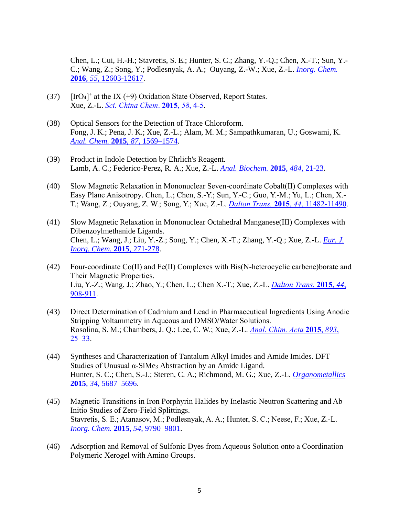Chen, L.; Cui, H.-H.; Stavretis, S. E.; Hunter, S. C.; Zhang, Y.-Q.; Chen, X.-T.; Sun, Y.- C.; Wang, Z.; Song, Y.; Podlesnyak, A. A.; Ouyang, Z.-W.; Xue, Z.-L. *[Inorg. Chem.](http://dx.doi.org/10.1021/acs.inorgchem.6b01544)* **2016**, *55*[, 12603-12617.](http://dx.doi.org/10.1021/acs.inorgchem.6b01544)

- $(37)$  [IrO<sub>4</sub>]<sup>+</sup> at the IX (+9) Oxidation State Observed, Report States. Xue, Z.-L. *[Sci. China Chem](http://dx.doi.org/10.1007/s11426-014-5271-z)*. **2015**, *58*, 4-5.
- (38) Optical Sensors for the Detection of Trace Chloroform. Fong, J. K.; Pena, J. K.; Xue, Z.-L.; Alam, M. M.; Sampathkumaran, U.; Goswami, K. *[Anal. Chem.](http://dx.doi.org/10.1021/ac503920c)* **2015**, *87*, 1569–1574.
- (39) Product in Indole Detection by Ehrlich's Reagent. Lamb, A. C.; Federico-Perez, R. A.; Xue, Z.-L. *[Anal. Biochem.](http://dx.doi.org/10.1016/j.ab.2015.04.033)* **2015**, *484*, 21-23.
- (40) Slow Magnetic Relaxation in Mononuclear Seven-coordinate Cobalt(II) Complexes with Easy Plane Anisotropy. Chen, L.; Chen, S.-Y.; Sun, Y.-C.; Guo, Y.-M.; Yu, L.; Chen, X.- T.; Wang, Z.; Ouyang, Z. W.; Song, Y.; Xue, Z.-L. *Dalton Trans.* **2015**, *44*[, 11482-11490.](http://dx.doi.org/10.1039/C5DT00785B)
- (41) Slow Magnetic Relaxation in Mononuclear Octahedral Manganese(III) Complexes with Dibenzoylmethanide Ligands. Chen, L.; Wang, J.; Liu, Y.-Z.; Song, Y.; Chen, X.-T.; Zhang, Y.-Q.; Xue, Z.-L. *[Eur. J.](http://dx.doi.org/10.1002/ejic.201402964)  [Inorg. Chem.](http://dx.doi.org/10.1002/ejic.201402964)* **2015**, 271-278.
- (42) Four-coordinate Co(II) and Fe(II) Complexes with Bis(N-heterocyclic carbene)borate and Their Magnetic Properties. Liu, Y.-Z.; Wang, J.; Zhao, Y.; Chen, L.; Chen X.-T.; Xue, Z.-L. *[Dalton Trans.](http://dx.doi.org/10.1039/C4DT02537G)* **2015**, *44*, [908-911.](http://dx.doi.org/10.1039/C4DT02537G)
- (43) Direct Determination of Cadmium and Lead in Pharmaceutical Ingredients Using Anodic Stripping Voltammetry in Aqueous and DMSO/Water Solutions. Rosolina, S. M.; Chambers, J. Q.; Lee, C. W.; Xue, Z.-L. *[Anal. Chim. Acta](http://www.sciencedirect.com/science/article/pii/S0003267015008569)* **2015**, *893*, [25–33.](http://www.sciencedirect.com/science/article/pii/S0003267015008569)
- (44) Syntheses and Characterization of Tantalum Alkyl Imides and Amide Imides. DFT Studies of Unusual α-SiMe<sup>3</sup> Abstraction by an Amide Ligand. Hunter, S. C.; Chen, S.-J.; Steren, C. A.; Richmond, M. G.; Xue, Z.-L. *[Organometallics](http://dx.doi.org/10.1021/acs.organomet.5b00558)* **2015**, *34*[, 5687–5696.](http://dx.doi.org/10.1021/acs.organomet.5b00558)
- (45) Magnetic Transitions in Iron Porphyrin Halides by Inelastic Neutron Scattering and Ab Initio Studies of Zero-Field Splittings. Stavretis, S. E.; Atanasov, M.; Podlesnyak, A. A.; Hunter, S. C.; Neese, F.; Xue, Z.-L. *[Inorg. Chem.](http://dx.doi.org/10.1021/acs.inorgchem.5b01505)* **2015**, *54*, 9790–9801.
- (46) Adsorption and Removal of Sulfonic Dyes from Aqueous Solution onto a Coordination Polymeric Xerogel with Amino Groups.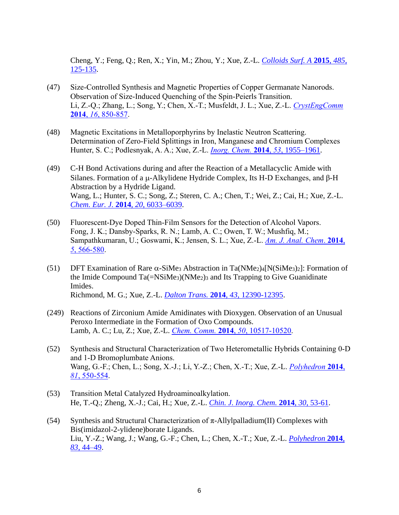Cheng, Y.; Feng, Q.; Ren, X.; Yin, M.; Zhou, Y.; Xue, Z.-L. *[Colloids Surf. A](http://www.sciencedirect.com/science/article/pii/S0927775715302004?via%3Dihub)* **2015**, *485*, [125-135.](http://www.sciencedirect.com/science/article/pii/S0927775715302004?via%3Dihub)

- (47) Size-Controlled Synthesis and Magnetic Properties of Copper Germanate Nanorods. Observation of Size-Induced Quenching of the Spin-Peierls Transition. Li, Z.-Q.; Zhang, L.; Song, Y.; Chen, X.-T.; Musfeldt, J. L.; Xue, Z.-L. *[CrystEngComm](http://dx.doi.org/10.1039/c3ce4)* **2014**, *16*[, 850-857.](http://dx.doi.org/10.1039/c3ce4)
- (48) Magnetic Excitations in Metalloporphyrins by Inelastic Neutron Scattering. Determination of Zero-Field Splittings in Iron, Manganese and Chromium Complexes Hunter, S. C.; Podlesnyak, A. A.; Xue, Z.-L. *[Inorg. Chem.](http://dx.doi.org/10.1021/ic4028354)* **2014**, *53*, 1955–1961.
- (49) C-H Bond Activations during and after the Reaction of a Metallacyclic Amide with Silanes. Formation of a  $\mu$ -Alkylidene Hydride Complex, Its H-D Exchanges, and  $\beta$ -H Abstraction by a Hydride Ligand. Wang, L.; Hunter, S. C.; Song, Z.; Steren, C. A.; Chen, T.; Wei, Z.; Cai, H.; Xue, Z.-L. *[Chem. Eur. J.](http://dx.doi.org/10.1002/chem.201303166)* **2014**, *20*, 6033–6039.
- (50) Fluorescent-Dye Doped Thin-Film Sensors for the Detection of Alcohol Vapors. Fong, J. K.; Dansby-Sparks, R. N.; Lamb, A. C.; Owen, T. W.; Mushfiq, M.; Sampathkumaran, U.; Goswami, K.; Jensen, S. L.; Xue, Z.-L. *[Am. J. Anal. Chem](http://dx.doi.org/10.4236/ajac.2014.59064)*. **2014**, *5*[, 566-580.](http://dx.doi.org/10.4236/ajac.2014.59064)
- (51) DFT Examination of Rare  $\alpha$ -SiMe<sub>3</sub> Abstraction in Ta(NMe<sub>2</sub>)<sub>4</sub>[N(SiMe<sub>3</sub>)<sub>2</sub>]: Formation of the Imide Compound Ta(=NSiMe3)(NMe2)<sup>3</sup> and Its Trapping to Give Guanidinate Imides. Richmond, M. G.; Xue, Z.-L. *Dalton Trans.* **2014**, *43*[, 12390-12395.](http://dx.doi.org/10.1039/C4DT01521E)
- (249) Reactions of Zirconium Amide Amidinates with Dioxygen. Observation of an Unusual Peroxo Intermediate in the Formation of Oxo Compounds. Lamb, A. C.; Lu, Z.; Xue, Z.-L. *Chem. Comm.* **2014**, *50*[, 10517-10520.](http://dx.doi.org/10.1039/C4CC04032E)
- (52) Synthesis and Structural Characterization of Two Heterometallic Hybrids Containing 0-D and 1-D Bromoplumbate Anions. Wang, G.-F.; Chen, L.; Song, X.-J.; Li, Y.-Z.; Chen, X.-T.; Xue, Z.-L. *[Polyhedron](http://dx.doi.org/10.1016/j.poly.2014.06.060)* **2014**, *81*[, 550-554.](http://dx.doi.org/10.1016/j.poly.2014.06.060)
- (53) Transition Metal Catalyzed Hydroaminoalkylation. He, T.-Q.; Zheng, X.-J.; Cai, H.; Xue, Z.-L. *[Chin. J. Inorg. Chem.](http://dx.doi.org/10.11862/CJIC.2014.083)* **2014**, *30*, 53-61.
- (54) Synthesis and Structural Characterization of  $\pi$ -Allylpalladium(II) Complexes with Bis(imidazol-2-ylidene)borate Ligands. Liu, Y.-Z.; Wang, J.; Wang, G.-F.; Chen, L.; Chen, X.-T.; Xue, Z.-L. *[Polyhedron](http://dx.doi.org/10.1016/j.poly.2014.04.014)* **2014**, *83*[, 44–49.](http://dx.doi.org/10.1016/j.poly.2014.04.014)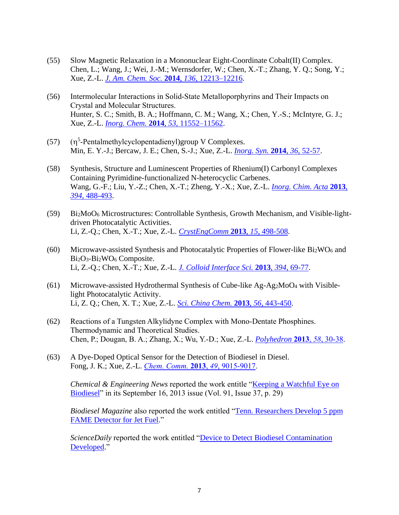- (55) Slow Magnetic Relaxation in a Mononuclear Eight-Coordinate Cobalt(II) Complex. Chen, L.; Wang, J.; Wei, J.-M.; Wernsdorfer, W.; Chen, X.-T.; Zhang, Y. Q.; Song, Y.; Xue, Z.-L. *[J. Am. Chem. Soc.](http://dx.doi.org/10.1021/ja5051605)* **2014**, *136*, 12213–12216.
- (56) Intermolecular Interactions in Solid-State Metalloporphyrins and Their Impacts on Crystal and Molecular Structures. Hunter, S. C.; Smith, B. A.; Hoffmann, C. M.; Wang, X.; Chen, Y.-S.; McIntyre, G. J.; Xue, Z.-L. *Inorg. Chem.* **2014**, *53*[, 11552–11562.](http://pubs.acs.org/doi/abs/10.1021/ic5015835)
- $(57)$ <sup>5</sup>-Pentalmethylcyclopentadienyl)group V Complexes. Min, E. Y.-J.; Bercaw, J. E.; Chen, S.-J.; Xue, Z.-L. *[Inorg. Syn.](http://onlinelibrary.wiley.com/doi/10.1002/9781118744994.ch11/summary)* **2014**, *36*, 52-57.
- (58) Synthesis, Structure and Luminescent Properties of Rhenium(I) Carbonyl Complexes Containing Pyrimidine-functionalized N-heterocyclic Carbenes. Wang, G.-F.; Liu, Y.-Z.; Chen, X.-T.; Zheng, Y.-X.; Xue, Z.-L. *[Inorg. Chim. Acta](http://dx.doi.org/10.1016/j.ica.2012.09.008)* **2013**, *394*[, 488-493.](http://dx.doi.org/10.1016/j.ica.2012.09.008)
- (59) Bi2MoO<sup>6</sup> Microstructures: Controllable Synthesis, Growth Mechanism, and Visible-lightdriven Photocatalytic Activities. Li, Z.-Q.; Chen, X.-T.; Xue, Z.-L. *[CrystEngComm](http://dx.doi.org/10.1039/C2CE26260F)* **2013**, *15*, 498-508.
- (60) Microwave-assisted Synthesis and Photocatalytic Properties of Flower-like Bi2WO<sup>6</sup> and Bi<sub>2</sub>O<sub>3</sub>-Bi<sub>2</sub>WO<sub>6</sub> Composite. Li, Z.-Q.; Chen, X.-T.; Xue, Z.-L. *[J. Colloid Interface Sci.](http://dx.doi.org/10.1016/j.jcis.2012.12.002)* **2013**, *394*, 69-77.
- (61) Microwave-assisted Hydrothermal Synthesis of Cube-like Ag-Ag2MoO<sup>4</sup> with Visiblelight Photocatalytic Activity. Li, Z. Q.; Chen, X. T.; Xue, Z.-L. *[Sci. China Chem.](http://dx.doi.org/10.1007/s11426-013-4845-5)* **2013**, *56*, 443-450.
- (62) Reactions of a Tungsten Alkylidyne Complex with Mono-Dentate Phosphines. Thermodynamic and Theoretical Studies. Chen, P.; Dougan, B. A.; Zhang, X.; Wu, Y.-D.; Xue, Z.-L. *[Polyhedron](http://dx.doi.org/10.1016/j.poly.2012.07.042)* **2013**, *58*, 30-38.
- (63) A Dye-Doped Optical Sensor for the Detection of Biodiesel in Diesel. Fong, J. K.; Xue, Z.-L. *[Chem. Comm.](http://dx.doi.org/10.1039/C3CC43958E)* **2013**, *49*, 9015-9017.

*Chemical & Engineering News* reported the work entitle ["Keeping a Watchful Eye on](http://cen.acs.org/articles/91/i37/Keeping-Watchful-Eye-Biodiesel.html)  [Biodiesel"](http://cen.acs.org/articles/91/i37/Keeping-Watchful-Eye-Biodiesel.html) in its September 16, 2013 issue (Vol. 91, Issue 37, p. 29)

*Biodiesel Magazine* also reported the work entitled "Tenn. Researchers Develop 5 ppm [FAME Detector for Jet Fuel.](http://www.biodieselmagazine.com/articles/9272/tenn-researchers-develop-5-ppm-fame-detector-for-jet-fuel)"

*ScienceDaily* reported the work entitled ["Device to Detect Biodiesel Contamination](http://www.sciencedaily.com/releases/2013/09/130905203022.htm)  [Developed.](http://www.sciencedaily.com/releases/2013/09/130905203022.htm)"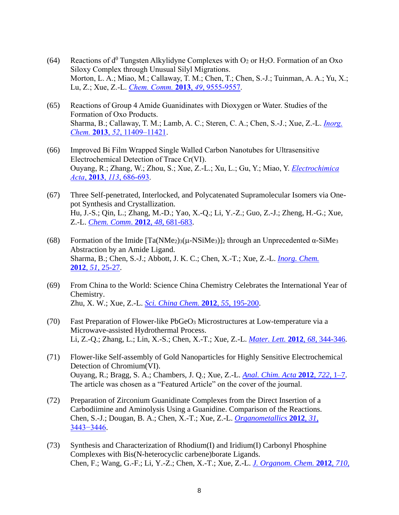- (64) Reactions of  $d^0$  Tungsten Alkylidyne Complexes with  $O_2$  or H<sub>2</sub>O. Formation of an Oxo Siloxy Complex through Unusual Silyl Migrations. Morton, L. A.; Miao, M.; Callaway, T. M.; Chen, T.; Chen, S.-J.; Tuinman, A. A.; Yu, X.; Lu, Z.; Xue, Z.-L. *[Chem. Comm.](http://dx.doi.org/10.1039/C3CC46014B)* **2013**, *49*, 9555-9557.
- (65) Reactions of Group 4 Amide Guanidinates with Dioxygen or Water. Studies of the Formation of Oxo Products. Sharma, B.; Callaway, T. M.; Lamb, A. C.; Steren, C. A.; Chen, S.-J.; Xue, Z.-L. *[Inorg.](http://dx.doi.org/10.1021/ic4016965)  Chem.* **2013**, *52*[, 11409–11421.](http://dx.doi.org/10.1021/ic4016965)
- (66) Improved Bi Film Wrapped Single Walled Carbon Nanotubes for Ultrasensitive Electrochemical Detection of Trace Cr(VI). Ouyang, R.; Zhang, W.; Zhou, S.; Xue, Z.-L.; Xu, L.; Gu, Y.; Miao, Y. *[Electrochimica](http://dx.doi.org/10.1016/j.electacta.2013.09.110)  Acta*, **2013**, *113*[, 686-693.](http://dx.doi.org/10.1016/j.electacta.2013.09.110)
- (67) Three Self-penetrated, Interlocked, and Polycatenated Supramolecular Isomers via Onepot Synthesis and Crystallization. Hu, J.-S.; Qin, L.; Zhang, M.-D.; Yao, X.-Q.; Li, Y.-Z.; Guo, Z.-J.; Zheng, H.-G.; Xue, Z.-L. *[Chem. Comm](http://dx.doi.org/10.1039/C1CC16147D)*. **2012**, *48*, 681-683.
- (68) Formation of the Imide  $[Ta(NMe_2)3(\mu\text{-}NSiMe_3)]_2$  through an Unprecedented  $\alpha\text{-}SiMe_3$ Abstraction by an Amide Ligand. Sharma, B.; Chen, S.-J.; Abbott, J. K. C.; Chen, X.-T.; Xue, Z.-L. *[Inorg. Chem.](http://dx.doi.org/10.1021/ic2021676)* **2012**, *51*, [25-27.](http://dx.doi.org/10.1021/ic2021676)
- (69) From China to the World: Science China Chemistry Celebrates the International Year of Chemistry. Zhu, X. W.; Xue, Z.-L. *[Sci. China Chem.](http://dx.doi.org/10.1007/s11426-011-4486-5)* **2012**, *55*, 195-200.
- (70) Fast Preparation of Flower-like PbGeO<sup>3</sup> Microstructures at Low-temperature via a Microwave-assisted Hydrothermal Process. Li, Z.-Q.; Zhang, L.; Lin, X.-S.; Chen, X.-T.; Xue, Z.-L. *[Mater. Lett.](http://dx.doi.org/10.1016/j.matlet.2011.10.091)* **2012**, *68*, 344-346.
- (71) Flower-like Self-assembly of Gold Nanoparticles for Highly Sensitive Electrochemical Detection of Chromium(VI). Ouyang, R.; Bragg, S. A.; Chambers, J. Q.; Xue, Z.-L. *[Anal. Chim. Acta](http://dx.doi.org/10.1016/j.aca.2012.01.032)* **2012**, *722*, 1–7. The article was chosen as a "Featured Article" on the cover of the journal.
- (72) Preparation of Zirconium Guanidinate Complexes from the Direct Insertion of a Carbodiimine and Aminolysis Using a Guanidine. Comparison of the Reactions. Chen, S.-J.; Dougan, B. A.; Chen, X.-T.; Xue, Z.-L. *[Organometallics](http://dx.doi.org/10.1021/om300097a)* **2012**, *31*, [3443−3446.](http://dx.doi.org/10.1021/om300097a)
- (73) Synthesis and Characterization of Rhodium(I) and Iridium(I) Carbonyl Phosphine Complexes with Bis(N-heterocyclic carbene)borate Ligands. Chen, F.; Wang, G.-F.; Li, Y.-Z.; Chen, X.-T.; Xue, Z.-L. *[J. Organom. Chem.](http://dx.doi.org/10.1016/j.jorganchem.2012.03.005)* **2012**, *710*,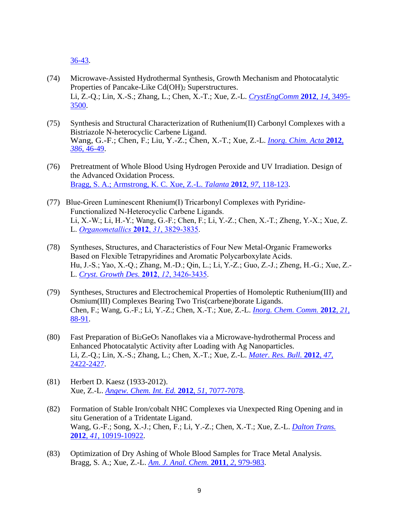[36-43.](http://dx.doi.org/10.1016/j.jorganchem.2012.03.005)

- (74) Microwave-Assisted Hydrothermal Synthesis, Growth Mechanism and Photocatalytic Properties of Pancake-Like Cd(OH)<sup>2</sup> Superstructures. Li, Z.-Q.; Lin, X.-S.; Zhang, L.; Chen, X.-T.; Xue, Z.-L. *[CrystEngComm](http://dx.doi.org/10.1039/C2CE06622J)* **2012**, *14*, 3495- [3500.](http://dx.doi.org/10.1039/C2CE06622J)
- (75) Synthesis and Structural Characterization of Ruthenium(II) Carbonyl Complexes with a Bistriazole N-heterocyclic Carbene Ligand. Wang, G.-F.; Chen, F.; Liu, Y.-Z.; Chen, X.-T.; Xue, Z.-L. *[Inorg. Chim. Acta](http://dx.doi.org/10.1016/j.ica.2012.02.006)* **2012**, *386*[, 46-49.](http://dx.doi.org/10.1016/j.ica.2012.02.006)
- (76) Pretreatment of Whole Blood Using Hydrogen Peroxide and UV Irradiation. Design of the Advanced Oxidation Process. [Bragg, S. A.; Armstrong, K. C. Xue, Z.-L.](http://dx.doi.org/10.1016/j.talanta.2012.04.004) *Talanta* **2012**, *97*, 118-123.
- (77) Blue-Green Luminescent Rhenium(I) Tricarbonyl Complexes with Pyridine-Functionalized N-Heterocyclic Carbene Ligands. Li, X.-W.; Li, H.-Y.; Wang, G.-F.; Chen, F.; Li, Y.-Z.; Chen, X.-T.; Zheng, Y.-X.; Xue, Z. L. *[Organometallics](http://pubs.acs.org/doi/abs/10.1021/om2006408)* **2012**, *31*, 3829-3835.
- (78) Syntheses, Structures, and Characteristics of Four New Metal-Organic Frameworks Based on Flexible Tetrapyridines and Aromatic Polycarboxylate Acids. Hu, J.-S.; Yao, X.-Q.; Zhang, M.-D.; Qin, L.; Li, Y.-Z.; Guo, Z.-J.; Zheng, H.-G.; Xue, Z.- L. *[Cryst. Growth Des.](http://pubs.acs.org/doi/abs/10.1021/cg201362x)* **2012**, *12*, 3426-3435.
- (79) Syntheses, Structures and Electrochemical Properties of Homoleptic Ruthenium(III) and Osmium(III) Complexes Bearing Two Tris(carbene)borate Ligands. Chen, F.; Wang, G.-F.; Li, Y.-Z.; Chen, X.-T.; Xue, Z.-L. *[Inorg. Chem. Comm.](http://dx.doi.org/10.1016/j.inoche.2012.04.020)* **2012**, *21*, [88-91.](http://dx.doi.org/10.1016/j.inoche.2012.04.020)
- (80) Fast Preparation of Bi2GeO<sup>5</sup> Nanoflakes via a Microwave-hydrothermal Process and Enhanced Photocatalytic Activity after Loading with Ag Nanoparticles. Li, Z.-Q.; Lin, X.-S.; Zhang, L.; Chen, X.-T.; Xue, Z.-L. *[Mater. Res. Bull.](http://dx.doi.org/10.1016/j.materresbull.2012.05.032)* **2012**, *47*, [2422-2427.](http://dx.doi.org/10.1016/j.materresbull.2012.05.032)
- (81) Herbert D. Kaesz (1933-2012). Xue, Z.-L. *[Angew. Chem. Int. Ed.](http://dx.doi.org/10.1002/anie.201204036)* **2012**, *51*, 7077-7078.
- (82) Formation of Stable Iron/cobalt NHC Complexes via Unexpected Ring Opening and in situ Generation of a Tridentate Ligand. Wang, G.-F.; Song, X.-J.; Chen, F.; Li, Y.-Z.; Chen, X.-T.; Xue, Z.-L. *[Dalton Trans.](http://dx.doi.org/10.1039/C2DT30894K)*  **2012**, *41*[, 10919-10922.](http://dx.doi.org/10.1039/C2DT30894K)
- (83) Optimization of Dry Ashing of Whole Blood Samples for Trace Metal Analysis. Bragg, S. A.; Xue, Z.-L. *[Am. J. Anal. Chem.](http://dx.doi.org/10.4236/ajac.2011.28114)* **2011**, *2*, 979-983.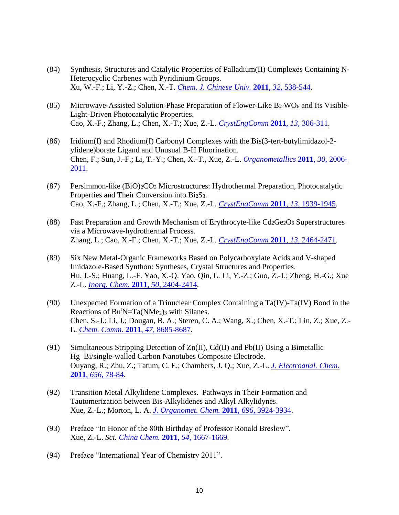- (84) Synthesis, Structures and Catalytic Properties of Palladium(II) Complexes Containing N-Heterocyclic Carbenes with Pyridinium Groups. Xu, W.-F.; Li, Y.-Z.; Chen, X.-T. *[Chem. J. Chinese Univ.](http://www.cjcu.jlu.edu.cn/CN/abstract/abstract13433.shtml)* **2011**, *32*, 538-544.
- (85) Microwave-Assisted Solution-Phase Preparation of Flower-Like  $Bi_2WO_6$  and Its Visible-Light-Driven Photocatalytic Properties. Cao, X.-F.; Zhang, L.; Chen, X.-T.; Xue, Z.-L. *[CrystEngComm](http://dx.doi.org/10.1039/c0ce00031k)* **2011**, *13*, 306-311.
- (86) Iridium(I) and Rhodium(I) Carbonyl Complexes with the Bis(3-tert-butylimidazol-2 ylidene)borate Ligand and Unusual B-H Fluorination. Chen, F.; Sun, J.-F.; Li, T.-Y.; Chen, X.-T., Xue, Z.-L. *[Organometallics](http://dx.doi.org/10.1021/om200036w)* **2011**, *30*, 2006- [2011.](http://dx.doi.org/10.1021/om200036w)
- (87) Persimmon-like (BiO)2CO<sup>3</sup> Microstructures: Hydrothermal Preparation, Photocatalytic Properties and Their Conversion into Bi<sub>2</sub>S<sub>3</sub>. Cao, X.-F.; Zhang, L.; Chen, X.-T.; Xue, Z.-L. *[CrystEngComm](http://dx.doi.org/10.1039/c0ce00324g)* **2011**, *13*, 1939-1945.
- (88) Fast Preparation and Growth Mechanism of Erythrocyte-like  $Cd_2Ge_2O_6$  Superstructures via a Microwave-hydrothermal Process. Zhang, L.; Cao, X.-F.; Chen, X.-T.; Xue, Z.-L. *[CrystEngComm](http://dx.doi.org/10.1039/C0CE00872a)* **2011**, *13*, 2464-2471.
- (89) Six New Metal-Organic Frameworks Based on Polycarboxylate Acids and V-shaped Imidazole-Based Synthon: Syntheses, Crystal Structures and Properties. Hu, J.-S.; Huang, L.-F. Yao, X.-Q. Yao, Qin, L. Li, Y.-Z.; Guo, Z.-J.; Zheng, H.-G.; Xue Z.-L. *[Inorg. Chem.](http://dx.doi.org/10.1021/ic102207n)* **2011**, *50*, 2404-2414.
- (90) Unexpected Formation of a Trinuclear Complex Containing a Ta(IV)-Ta(IV) Bond in the Reactions of  $Bu<sup>t</sup>N=Ta(NMe<sub>2</sub>)<sub>3</sub>$  with Silanes. Chen, S.-J.; Li, J.; Dougan, B. A.; Steren, C. A.; Wang, X.; Chen, X.-T.; Lin, Z.; Xue, Z.- L. *[Chem. Comm.](http://dx.doi.org/10.1039/c1cc12837)* **2011**, *47*, 8685-8687.
- (91) Simultaneous Stripping Detection of  $Zn(II)$ , Cd(II) and Pb(II) Using a Bimetallic Hg–Bi/single-walled Carbon Nanotubes Composite Electrode. Ouyang, R.; Zhu, Z.; Tatum, C. E.; Chambers, J. Q.; Xue, Z.-L. *[J. Electroanal. Chem.](http://dx.doi.org/10.1016/j.jelechem.2011.01.006)* **2011**, *656*[, 78-84.](http://dx.doi.org/10.1016/j.jelechem.2011.01.006)
- (92) Transition Metal Alkylidene Complexes. Pathways in Their Formation and Tautomerization between Bis-Alkylidenes and Alkyl Alkylidynes. Xue, Z.-L.; Morton, L. A. *[J. Organomet. Chem.](http://dx.doi.org/10.1016/j.jorganchem.2011.06.048)* **2011**, *696*, 3924-3934.
- (93) Preface "In Honor of the 80th Birthday of Professor Ronald Breslow". Xue, Z.-L. *Sci. [China Chem.](http://dx.doi.org/10.1007/s11426-011-4404-x)* **2011**, *54*, 1667-1669.
- (94) Preface "International Year of Chemistry 2011".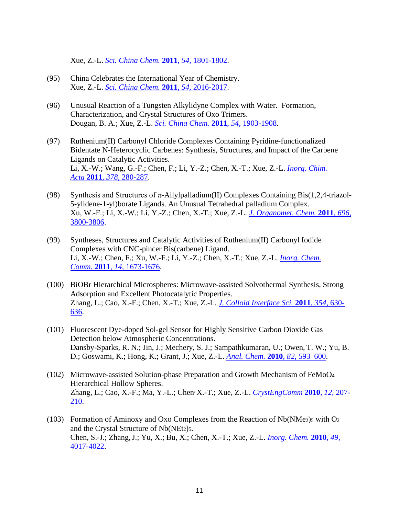Xue, Z.-L. *[Sci. China Chem.](http://dx.doi.org/10.1007/s11426-011-4464-y)* **2011**, *54*, 1801-1802.

- (95) China Celebrates the International Year of Chemistry. Xue, Z.-L. *[Sci. China Chem.](http://dx.doi.org/10.1007/s11426-011-4463-z)* **2011**, *54*, 2016-2017.
- (96) Unusual Reaction of a Tungsten Alkylidyne Complex with Water. Formation, Characterization, and Crystal Structures of Oxo Trimers. Dougan, B. A.; Xue, Z.-L. *[Sci. China Chem.](http://dx.doi.org/10.1007/s11426-011-4419-3)* **2011**, *54*, 1903-1908.
- (97) Ruthenium(II) Carbonyl Chloride Complexes Containing Pyridine-functionalized Bidentate N-Heterocyclic Carbenes: Synthesis, Structures, and Impact of the Carbene Ligands on Catalytic Activities. Li, X.-W.; Wang, G.-F.; Chen, F.; Li, Y.-Z.; Chen, X.-T.; Xue, Z.-L. *[Inorg. Chim.](http://dx.doi.org/10.1016/j.ica.2011.09.009)  Acta* **2011**, *378*, [280-287.](http://dx.doi.org/10.1016/j.ica.2011.09.009)
- (98) Synthesis and Structures of  $\pi$ -Allylpalladium(II) Complexes Containing Bis(1,2,4-triazol-5-ylidene-1-yl)borate Ligands. An Unusual Tetrahedral palladium Complex. Xu, W.-F.; Li, X.-W.; Li, Y.-Z.; Chen, X.-T.; Xue, Z.-L. *[J. Organomet. Chem.](http://dx.doi.org/10.1016/j.jorganchem.2011.09.003)* **2011**, *696*, [3800-3806.](http://dx.doi.org/10.1016/j.jorganchem.2011.09.003)
- (99) Syntheses, Structures and Catalytic Activities of Ruthenium(II) Carbonyl Iodide Complexes with CNC-pincer Bis(carbene) Ligand. Li, X.-W.; Chen, F.; Xu, W.-F.; Li, Y.-Z.; Chen, X.-T.; Xue, Z.-L. *[Inorg. Chem.](http://dx.doi.org/10.1016/j.inoche.2011.07.004)  Comm.* **2011**, *14*, [1673-1676.](http://dx.doi.org/10.1016/j.inoche.2011.07.004)
- (100) BiOBr Hierarchical Microspheres: Microwave-assisted Solvothermal Synthesis, Strong Adsorption and Excellent Photocatalytic Properties. Zhang, L.; Cao, X.-F.; Chen, X.-T.; Xue, Z.-L. *[J. Colloid Interface Sci.](http://dx.doi.org/10.1016/j.jcis.2010.11.042)* **2011**, *354*, 630- [636.](http://dx.doi.org/10.1016/j.jcis.2010.11.042)
- (101) Fluorescent Dye-doped Sol-gel Sensor for Highly Sensitive Carbon Dioxide Gas Detection below Atmospheric Concentrations. Dansby-Sparks, R. N.; Jin, J.; Mechery, S. J.; Sampathkumaran, U.; Owen, T. W.; Yu, B. D.; Goswami, K.; Hong, K.; Grant, J.; Xue, Z.-L. *[Anal. Chem.](http://dx.doi.org/10.1021/ac901890r)* **2010**, *82*, 593–600.
- (102) Microwave-assisted Solution-phase Preparation and Growth Mechanism of FeMoO<sup>4</sup> Hierarchical Hollow Spheres. Zhang, L.; Cao, X.-F.; Ma, Y.-L.; Chen, X.-T.; Xue, Z.-L. *[CrystEngComm](http://www.rsc.org/ej/CE/2010/b912555h.pdf)* **2010**, *12*, 207- [210.](http://www.rsc.org/ej/CE/2010/b912555h.pdf)
- (103) Formation of Aminoxy and Oxo Complexes from the Reaction of  $Nb(NMe<sub>2</sub>)$ <sub>5</sub> with O<sub>2</sub> and the Crystal Structure of Nb(NEt<sub>2</sub>)<sub>5</sub>. Chen, S.-J.; Zhang,J.; Yu, X.; Bu, X.; Chen, X.-T.; Xue, Z.-L. *[Inorg. Chem.](http://dx.doi.org/10.1021/ic901889m)* **2010**, *49*, [4017-4022.](http://dx.doi.org/10.1021/ic901889m)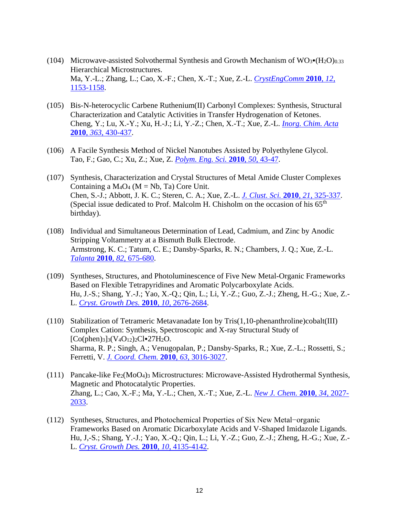- (104) Microwave-assisted Solvothermal Synthesis and Growth Mechanism of  $WO_3\bullet (H_2O)_{0.33}$ Hierarchical Microstructures. Ma, Y.-L.; Zhang, L.; Cao, X.-F.; Chen, X.-T.; Xue, Z.-L. *[CrystEngComm](http://dx.doi.org/10.1039/B915363B)* **2010**, *12*, [1153-1158.](http://dx.doi.org/10.1039/B915363B)
- (105) Bis-N-heterocyclic Carbene Ruthenium(II) Carbonyl Complexes: Synthesis, Structural Characterization and Catalytic Activities in Transfer Hydrogenation of Ketones. Cheng, Y.; Lu, X.-Y.; Xu, H.-J.; Li, Y.-Z.; Chen, X.-T.; Xue, Z.-L. *[Inorg. Chim. Acta](http://dx.doi.org/10.1016/j.ica.2009.11.015)*  **2010**, *363*[, 430-437.](http://dx.doi.org/10.1016/j.ica.2009.11.015)
- (106) A Facile Synthesis Method of Nickel Nanotubes Assisted by Polyethylene Glycol. Tao, F.; Gao, C.; Xu, Z.; Xue, Z. *[Polym. Eng. Sci.](http://dx.doi.org/10.1002/pen.21507)* **2010**, *50*, 43-47.
- (107) Synthesis, Characterization and Crystal Structures of Metal Amide Cluster Complexes Containing a  $M_4O_4$  ( $M = Nb$ , Ta) Core Unit. Chen, S.-J.; Abbott, J. K. C.; Steren, C. A.; Xue, Z.-L. *[J. Clust. Sci.](http://dx.doi.org/10.1007/s10876-010-0297-7)* **2010**, *21*, 325-337. (Special issue dedicated to Prof. Malcolm H. Chisholm on the occasion of his  $65<sup>th</sup>$ birthday).
- (108) Individual and Simultaneous Determination of Lead, Cadmium, and Zinc by Anodic Stripping Voltammetry at a Bismuth Bulk Electrode. Armstrong, K. C.; Tatum, C. E.; Dansby-Sparks, R. N.; Chambers, J. Q.; Xue, Z.-L. *Talanta* **2010**, *82*[, 675-680.](http://dx.doi.org/10.1016/j.talanta.2010.05.031)
- (109) Syntheses, Structures, and Photoluminescence of Five New Metal-Organic Frameworks Based on Flexible Tetrapyridines and Aromatic Polycarboxylate Acids. Hu, J.-S.; Shang, Y.-J.; Yao, X.-Q.; Qin, L.; Li, Y.-Z.; Guo, Z.-J.; Zheng, H.-G.; Xue, Z.- L. *[Cryst. Growth Des.](http://dx.doi.org/10.1021/cg1001557)* **2010**, *10,* 2676-2684.
- (110) Stabilization of Tetrameric Metavanadate Ion by Tris(1,10-phenanthroline)cobalt(III) Complex Cation: Synthesis, Spectroscopic and X-ray Structural Study of  $[Co(phen)_{3}]_{3}(V_{4}O_{12})_{2}Cl\simeq27H_{2}O.$ Sharma, R. P.; Singh, A.; Venugopalan, P.; Dansby-Sparks, R.; Xue, Z.-L.; Rossetti, S.; Ferretti, V. *[J. Coord. Chem.](http://dx.doi.org/10.1080/00958972.2010.504831)* **2010**, *63*, 3016-3027.
- (111) Pancake-like Fe2(MoO4)<sup>3</sup> Microstructures: Microwave-Assisted Hydrothermal Synthesis, Magnetic and Photocatalytic Properties. Zhang, L.; Cao, X.-F.; Ma, Y.-L.; Chen, X.-T.; Xue, Z.-L. *[New J. Chem.](http://dx.doi.org/10.1039/c0nj00048e)* **2010**, *34*, 2027- [2033.](http://dx.doi.org/10.1039/c0nj00048e)
- (112) Syntheses, Structures, and Photochemical Properties of Six New Metal−organic Frameworks Based on Aromatic Dicarboxylate Acids and V-Shaped Imidazole Ligands. Hu, J,-S.; Shang, Y.-J.; Yao, X.-Q.; Qin, L.; Li, Y.-Z.; Guo, Z.-J.; Zheng, H.-G.; Xue, Z.- L. *[Cryst. Growth Des.](http://dx.doi.org/10.1021/cg1008208)* **2010**, *10,* 4135-4142.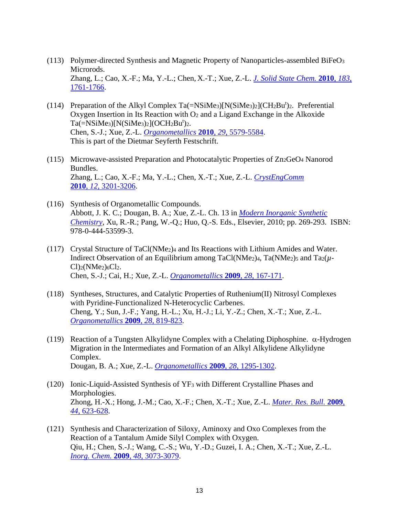- (113) Polymer-directed Synthesis and Magnetic Property of Nanoparticles-assembled BiFeO<sup>3</sup> Microrods. Zhang, L.; Cao, X.-F.; Ma, Y.-L.; Chen, X.-T.; Xue, Z.-L. *[J. Solid State Chem.](http://dx.doi.org/10.1016/j.jssc.2010.05.029)* **2010**, *183*, [1761-1766.](http://dx.doi.org/10.1016/j.jssc.2010.05.029)
- (114) Preparation of the Alkyl Complex Ta $(=\text{NSiMe}_3)[N(\text{SiMe}_3)_2](CH_2Bu^t)_2$ . Preferential Oxygen Insertion in Its Reaction with  $O_2$  and a Ligand Exchange in the Alkoxide  $Ta(=\frac{NSiMe_3}{N(SiMe_3)_2}(OCH_2Bu^t)_2$ . Chen, S.-J.; Xue, Z.-L. *[Organometallics](http://dx.doi.org/10.1021/om100493s)* **2010**, *29*, 5579-5584. This is part of the Dietmar Seyferth Festschrift.
- (115) Microwave-assisted Preparation and Photocatalytic Properties of Zn2GeO<sup>4</sup> Nanorod Bundles. Zhang, L.; Cao, X.-F.; Ma, Y.-L.; Chen, X.-T.; Xue, Z.-L. *[CrystEngComm](http://dx.doi.org/10.1039/b927170h)* **2010**, *12*, [3201-3206.](http://dx.doi.org/10.1039/b927170h)
- (116) Synthesis of Organometallic Compounds. Abbott, J. K. C.; Dougan, B. A.; Xue, Z.-L. Ch. 13 in *[Modern Inorganic Synthetic](http://www.elsevier.com/wps/find/bookdescription.cws_home/724257/description#description)  [Chemistry](http://www.elsevier.com/wps/find/bookdescription.cws_home/724257/description#description)*, Xu, R.-R.; Pang, W.-Q.; Huo, Q.-S. Eds., Elsevier, 2010; pp. 269-293. ISBN: 978-0-444-53599-3.
- (117) Crystal Structure of TaCl(NMe2)<sup>4</sup> and Its Reactions with Lithium Amides and Water. Indirect Observation of an Equilibrium among TaCl(NMe2)4, Ta(NMe2)<sup>5</sup> and Ta2(*µ*- $Cl$ <sub>2</sub>(NMe<sub>2</sub>)<sub>6</sub> $Cl$ <sub>2</sub>. Chen, S.-J.; Cai, H.; Xue, Z.-L. *[Organometallics](http://dx.doi.org/10.1021/om800362t)* **2009**, *28*, 167-171.
- (118) Syntheses, Structures, and Catalytic Properties of Ruthenium(II) Nitrosyl Complexes with Pyridine-Functionalized N-Heterocyclic Carbenes. Cheng, Y.; Sun, J.-F.; Yang, H.-L.; Xu, H.-J.; Li, Y.-Z.; Chen, X.-T.; Xue, Z.-L. *[Organometallics](http://dx.doi.org/10.1021/om800791n)* **2009**, *28*, 819-823.
- (119) Reaction of a Tungsten Alkylidyne Complex with a Chelating Diphosphine.  $\alpha$ -Hydrogen Migration in the Intermediates and Formation of an Alkyl Alkylidene Alkylidyne Complex. Dougan, B. A.; Xue, Z.-L. *[Organometallics](http://dx.doi.org/10.1021/om8010917)* **2009**, *28*, 1295-1302.
- (120) Ionic-Liquid-Assisted Synthesis of YF<sup>3</sup> with Different Crystalline Phases and Morphologies. Zhong, H.-X.; Hong, J.-M.; Cao, X.-F.; Chen, X.-T.; Xue, Z.-L. *[Mater. Res. Bull.](http://dx.doi.org/10.1016/j.materresbull.2008.06.028)* **2009**, *44*[, 623-628.](http://dx.doi.org/10.1016/j.materresbull.2008.06.028)
- (121) Synthesis and Characterization of Siloxy, Aminoxy and Oxo Complexes from the Reaction of a Tantalum Amide Silyl Complex with Oxygen. Qiu, H.; Chen, S.-J.; Wang, C.-S.; Wu, Y.-D.; Guzei, I. A.; Chen, X.-T.; Xue, Z.-L. *[Inorg. Chem.](http://dx.doi.org/10.1021/ic802380u)* **2009**, *48*, 3073-3079.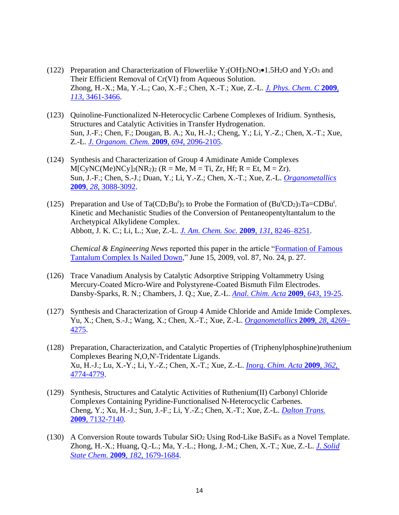- (122) Preparation and Characterization of Flowerlike Y<sub>2</sub>(OH)<sub>5</sub>NO<sub>3</sub>•1.5H<sub>2</sub>O and Y<sub>2</sub>O<sub>3</sub> and Their Efficient Removal of Cr(VI) from Aqueous Solution. Zhong, H.-X.; Ma, Y.-L.; Cao, X.-F.; Chen, X.-T.; Xue, Z.-L. *[J. Phys. Chem. C](http://dx.doi.org/10.1021/jp809429b)* **2009**, *113*[, 3461-3466.](http://dx.doi.org/10.1021/jp809429b)
- (123) Quinoline-Functionalized N-Heterocyclic Carbene Complexes of Iridium. Synthesis, Structures and Catalytic Activities in Transfer Hydrogenation. Sun, J.-F.; Chen, F.; Dougan, B. A.; Xu, H.-J.; Cheng, Y.; Li, Y.-Z.; Chen, X.-T.; Xue, Z.-L. *[J. Organom. Chem.](http://dx.doi.org/10.1016/j.jorganchem.2009.02.007)* **2009**, *694*, 2096-2105.
- (124) Synthesis and Characterization of Group 4 Amidinate Amide Complexes  $M[CyNC(Me)NCy]_2(NR_2)_2 (R = Me, M = Ti, Zr, Hf; R = Et, M = Zr).$ Sun, J.-F.; Chen, S.-J.; Duan, Y.; Li, Y.-Z.; Chen, X.-T.; Xue, Z.-L. *[Organometallics](http://dx.doi.org/10.1021/om900162b)* **2009**, *28*[, 3088-3092.](http://dx.doi.org/10.1021/om900162b)
- (125) Preparation and Use of Ta( $CD_2Bu^t$ ) to Probe the Formation of  $(Bu^tCD_2)$ <sub>3</sub>Ta= $CDBu^t$ . Kinetic and Mechanistic Studies of the Conversion of Pentaneopentyltantalum to the Archetypical Alkylidene Complex. Abbott, J. K. C.; Li, L.; Xue, Z.-L. *[J. Am. Chem. Soc.](http://dx.doi.org/10.1021/ja901251c)* **2009**, *131*, 8246–8251.

*Chemical & Engineering News* reported this paper in the article ["Formation of Famous](http://pubs.acs.org/isubscribe/journals/cen/87/i24/html/8724scic5.html)  [Tantalum Complex Is Nailed Down,](http://pubs.acs.org/isubscribe/journals/cen/87/i24/html/8724scic5.html)" June 15, 2009, vol. 87, No. 24, p. 27.

- (126) Trace Vanadium Analysis by Catalytic Adsorptive Stripping Voltammetry Using Mercury-Coated Micro-Wire and Polystyrene-Coated Bismuth Film Electrodes. Dansby-Sparks, R. N.; Chambers, J. Q.; Xue, Z.-L. *[Anal. Chim. Acta](http://dx.doi.org/10.1016/j.aca.2009.03.052)* **2009**, *643*, 19-25.
- (127) Synthesis and Characterization of Group 4 Amide Chloride and Amide Imide Complexes. Yu, X.; Chen, S.-J.; Wang, X.; Chen, X.-T.; Xue, Z.-L. *[Organometallics](http://dx.doi.org/10.1021/om900070k)* **2009**, *28*, 4269– [4275.](http://dx.doi.org/10.1021/om900070k)
- (128) Preparation, Characterization, and Catalytic Properties of (Triphenylphosphine)ruthenium Complexes Bearing N,O,N'-Tridentate Ligands. Xu, H.-J.; Lu, X.-Y.; Li, Y.-Z.; Chen, X.-T.; Xue, Z.-L. *[Inorg. Chim. Acta](http://dx.doi.org/10.1016/j.ica.2009.06.055)* **2009**, *362*, [4774-4779.](http://dx.doi.org/10.1016/j.ica.2009.06.055)
- (129) Synthesis, Structures and Catalytic Activities of Ruthenium(II) Carbonyl Chloride Complexes Containing Pyridine-Functionalised N-Heterocyclic Carbenes. Cheng, Y.; Xu, H.-J.; Sun, J.-F.; Li, Y.-Z.; Chen, X.-T.; Xue, Z.-L. *[Dalton Trans.](http://www.rsc.org/ej/DT/2009/b904882k.pdf)* **2009**, [7132-7140.](http://www.rsc.org/ej/DT/2009/b904882k.pdf)
- (130) A Conversion Route towards Tubular  $SiO<sub>2</sub>$  Using Rod-Like BaSiF<sub>6</sub> as a Novel Template. Zhong, H.-X.; Huang, Q.-L.; Ma, Y.-L.; Hong, J.-M.; Chen, X.-T.; Xue, Z.-L. *[J. Solid](http://dx.doi.org/10.1016/j.jssc.2009.03.037)  [State Chem.](http://dx.doi.org/10.1016/j.jssc.2009.03.037)* **2009**, *182*, 1679-1684.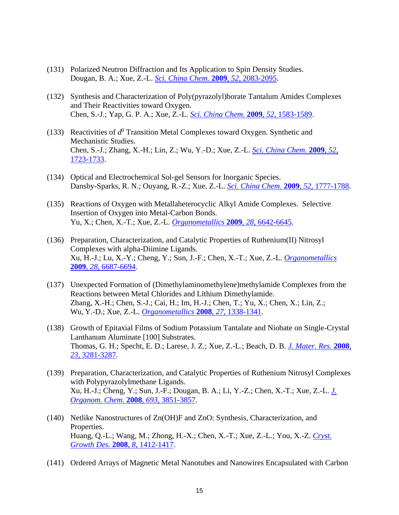- (131) Polarized Neutron Diffraction and Its Application to Spin Density Studies. Dougan, B. A.; Xue, Z.-L. *[Sci. China Chem.](http://dx.doi.org/10.1007/s11426-009-0199-4)* **2009**, *52*, 2083-2095.
- (132) Synthesis and Characterization of Poly(pyrazolyl)borate Tantalum Amides Complexes and Their Reactivities toward Oxygen. Chen, S.-J.; Yap, G. P. A.; Xue, Z.-L. *[Sci. China Chem.](http://dx.doi.org/10.1007/s11426-009-0236-3)* **2009**, *52*, 1583-1589.
- (133) Reactivities of  $d^0$  Transition Metal Complexes toward Oxygen. Synthetic and Mechanistic Studies. Chen, S.-J.; Zhang, X.-H.; Lin, Z.; Wu, Y.-D.; Xue, Z.-L. *[Sci. China Chem.](http://dx.doi.org/10.1007/s11426-009-0253-2)* **2009**, *52*, [1723-1733.](http://dx.doi.org/10.1007/s11426-009-0253-2)
- (134) Optical and Electrochemical Sol-gel Sensors for Inorganic Species. Dansby-Sparks, R. N.; Ouyang, R.-Z.; Xue, Z.-L. *[Sci. China Chem.](http://dx.doi.org/10.1007/s11426-009-0278-6)* **2009**, *52*, 1777-1788.
- (135) Reactions of Oxygen with Metallaheterocyclic Alkyl Amide Complexes. Selective Insertion of Oxygen into Metal-Carbon Bonds. Yu, X.; Chen, X.-T.; Xue, Z.-L. *[Organometallics](http://dx.doi.org/10.1021/om900773w)* **2009**, *28*, 6642-6645.
- (136) Preparation, Characterization, and Catalytic Properties of Ruthenium(II) Nitrosyl Complexes with alpha-Diimine Ligands. Xu, H.-J.; Lu, X.-Y.; Cheng, Y.; Sun, J.-F.; Chen, X.-T.; Xue, Z.-L. *[Organometallics](http://dx.doi.org/10.1021/om9006714)* **2009**, *28*[, 6687-6694.](http://dx.doi.org/10.1021/om9006714)
- (137) Unexpected Formation of (Dimethylaminomethylene)methylamide Complexes from the Reactions between Metal Chlorides and Lithium Dimethylamide. Zhang, X.-H.; Chen, S.-J.; Cai, H.; Im, H.-J.; Chen, T.; Yu, X.; Chen, X.; Lin, Z.; Wu, Y.-D.; Xue, Z.-L. *[Organometallics](http://dx.doi.org/10.1021/om701173m)* **2008**, *27*, 1338-1341.
- (138) Growth of Epitaxial Films of Sodium Potassium Tantalate and Niobate on Single-Crystal Lanthanum Aluminate [100] Substrates. Thomas, G. H.; Specht, E. D.; Larese, J. Z.; Xue, Z.-L.; Beach, D. B. *[J. Mater. Res.](http://dx.doi.org/10.1557/JMR.2008.0393)* **2008**, *23*[, 3281-3287.](http://dx.doi.org/10.1557/JMR.2008.0393)
- (139) Preparation, Characterization, and Catalytic Properties of Ruthenium Nitrosyl Complexes with Polypyrazolylmethane Ligands. Xu, H.-J.; Cheng, Y.; Sun, J.-F.; Dougan, B. A.; Li, Y.-Z.; Chen, X.-T.; Xue, Z.-L. *[J.](http://dx.doi.org/10.1016/j.jorganchem.2008.09.045)  [Organom. Chem.](http://dx.doi.org/10.1016/j.jorganchem.2008.09.045)* **2008**, *693*, 3851-3857.
- (140) Netlike Nanostructures of Zn(OH)F and ZnO: Synthesis, Characterization, and Properties. Huang, Q.-L.; Wang, M.; Zhong, H.-X.; Chen, X.-T.; Xue, Z.-L.; You, X.-Z. *[Cryst.](http://dx.doi.org/10.1021/cg070539%2B)  [Growth Des.](http://dx.doi.org/10.1021/cg070539%2B)* **2008**, *8*, 1412-1417.
- (141) Ordered Arrays of Magnetic Metal Nanotubes and Nanowires Encapsulated with Carbon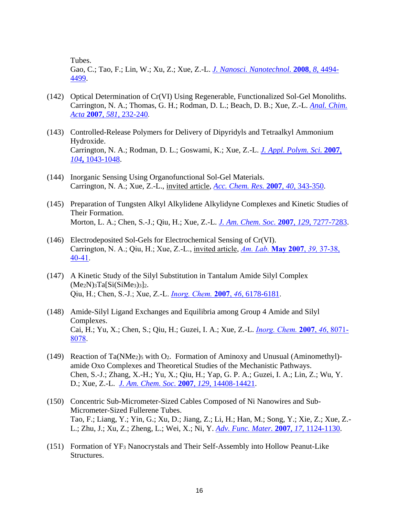Tubes.

Gao, C.; Tao, F.; Lin, W.; Xu, Z.; Xue, Z.-L. *[J. Nanosci. Nanotechnol.](http://dx.doi.org/10.1166/jnn.2008.307)* **2008**, *8*, 4494- [4499.](http://dx.doi.org/10.1166/jnn.2008.307)

- (142) Optical Determination of Cr(VI) Using Regenerable, Functionalized Sol-Gel Monoliths. Carrington, N. A.; Thomas, G. H.; Rodman, D. L.; Beach, D. B.; Xue, Z.-L. *[Anal. Chim.](http://dx.doi.org/10.1016/j.aca.2006.08.032)  Acta* **2007**, *581*[, 232-240](http://dx.doi.org/10.1016/j.aca.2006.08.032).
- (143) Controlled-Release Polymers for Delivery of Dipyridyls and Tetraalkyl Ammonium Hydroxide. Carrington, N. A.; Rodman, D. L.; Goswami, K.; Xue, Z.-L. *[J. Appl. Polym. Sci.](http://dx.doi.org/10.1002/app.25859)* **2007**, *104***,** [1043-1048.](http://dx.doi.org/10.1002/app.25859)
- (144) Inorganic Sensing Using Organofunctional Sol-Gel Materials. Carrington, N. A.; Xue, Z.-L., invited article, *[Acc. Chem. Res.](http://dx.doi.org/10.1021/ar600017w)* **2007**, *40*, 343-350.
- (145) Preparation of Tungsten Alkyl Alkylidene Alkylidyne Complexes and Kinetic Studies of Their Formation. Morton, L. A.; Chen, S.-J.; Qiu, H.; Xue, Z.-L. *[J. Am. Chem. Soc.](http://dx.doi.org/10.1021/ja067914r)* **2007**, *129*, 7277-7283.
- (146) Electrodeposited Sol-Gels for Electrochemical Sensing of Cr(VI). Carrington, N. A.; Qiu, H.; Xue, Z.-L., invited article, *Am. Lab.* **[May 2007](http://www.ncbi.nlm.nih.gov/pmc/articles/PMC2136435/)**, *39,* 37-38, [40-41.](http://www.ncbi.nlm.nih.gov/pmc/articles/PMC2136435/)
- (147) A Kinetic Study of the Silyl Substitution in Tantalum Amide Silyl Complex  $(Me<sub>2</sub>N)<sub>3</sub>Ta[Si(SiMe<sub>3</sub>)<sub>3</sub>]<sub>2</sub>.$ Qiu, H.; Chen, S.-J.; Xue, Z.-L. *[Inorg. Chem.](http://dx.doi.org/10.1021/ic0703169)* **2007**, *46*, 6178-6181.
- (148) Amide-Silyl Ligand Exchanges and Equilibria among Group 4 Amide and Silyl Complexes. Cai, H.; Yu, X.; Chen, S.; Qiu, H.; Guzei, I. A.; Xue, Z.-L. *[Inorg. Chem.](http://dx.doi.org/10.1021/ic7010293)* **2007**, *46*, 8071- [8078.](http://dx.doi.org/10.1021/ic7010293)
- (149) Reaction of Ta(NMe2)<sup>5</sup> with O2. Formation of Aminoxy and Unusual (Aminomethyl) amide Oxo Complexes and Theoretical Studies of the Mechanistic Pathways. Chen, S.-J.; Zhang, X.-H.; Yu, X.; Qiu, H.; Yap, G. P. A.; Guzei, I. A.; Lin, Z.; Wu, Y. D.; Xue, Z.-L. *[J. Am. Chem. Soc.](http://dx.doi.org/10.1021/ja075076a)* **2007**, *129*, 14408-14421.
- (150) Concentric Sub-Micrometer-Sized Cables Composed of Ni Nanowires and Sub-Micrometer-Sized Fullerene Tubes. Tao, F.; Liang, Y.; Yin, G.; Xu, D.; Jiang, Z.; Li, H.; Han, M.; Song, Y.; Xie, Z.; Xue, Z.- L.; Zhu, J.; Xu, Z.; Zheng, L.; Wei, X.; Ni, Y. *[Adv. Func. Mater.](http://dx.doi.org/10.1002/adfm.200600177)* **2007**, *17*, 1124-1130.
- (151) Formation of YF<sup>3</sup> Nanocrystals and Their Self-Assembly into Hollow Peanut-Like Structures.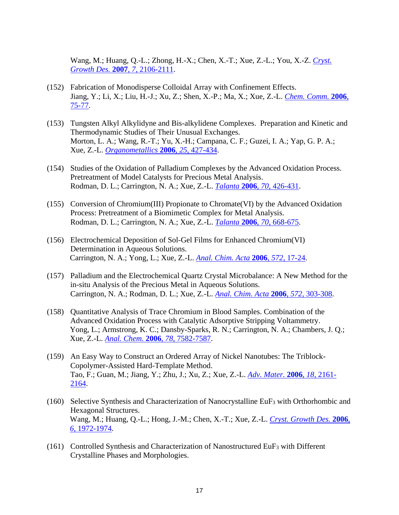Wang, M.; Huang, Q.-L.; Zhong, H.-X.; Chen, X.-T.; Xue, Z.-L.; You, X.-Z. *[Cryst.](http://dx.doi.org/10.1021/cg070397j)  [Growth Des.](http://dx.doi.org/10.1021/cg070397j)* **2007**, *7*, 2106-2111.

- (152) Fabrication of Monodisperse Colloidal Array with Confinement Effects. Jiang, Y.; Li, X.; Liu, H.-J.; Xu, Z.; Shen, X.-P.; Ma, X.; Xue, Z.-L. *[Chem. Comm.](http://dx.doi.org/10.1039/B512346A)* **2006**, [75-77.](http://dx.doi.org/10.1039/B512346A)
- (153) Tungsten Alkyl Alkylidyne and Bis-alkylidene Complexes. Preparation and Kinetic and Thermodynamic Studies of Their Unusual Exchanges. Morton, L. A.; Wang, R.-T.; Yu, X.-H.; Campana, C. F.; Guzei, I. A.; Yap, G. P. A.; Xue, Z.-L. *[Organometallics](http://dx.doi.org/10.1021/om050745j)* **2006**, *25*, 427-434.
- (154) Studies of the Oxidation of Palladium Complexes by the Advanced Oxidation Process. Pretreatment of Model Catalysts for Precious Metal Analysis. Rodman, D. L.; Carrington, N. A.; Xue, Z.-L. *Talanta* **2006**, *70*[, 426-431.](http://dx.doi.org/10.1016/j.talanta.2006.02.067)
- (155) Conversion of Chromium(III) Propionate to Chromate(VI) by the Advanced Oxidation Process: Pretreatment of a Biomimetic Complex for Metal Analysis. Rodman, D. L.; Carrington, N. A.; Xue, Z.-L. *Talanta* **2006**, *70*[, 668-675.](http://dx.doi.org/10.1016/j.talanta.2006.05.092)
- (156) Electrochemical Deposition of Sol-Gel Films for Enhanced Chromium(VI) Determination in Aqueous Solutions. Carrington, N. A.; Yong, L.; Xue, Z.-L. *[Anal. Chim. Acta](http://dx.doi.org/10.1016/j.aca.2006.05.020)* **2006**, *572*, 17-24.
- (157) Palladium and the Electrochemical Quartz Crystal Microbalance: A New Method for the in-situ Analysis of the Precious Metal in Aqueous Solutions. Carrington, N. A.; Rodman, D. L.; Xue, Z.-L. *[Anal. Chim. Acta](http://dx.doi.org/10.1016/j.aca.2006.05.035)* **2006***, 572*, 303-308.
- (158) Quantitative Analysis of Trace Chromium in Blood Samples. Combination of the Advanced Oxidation Process with Catalytic Adsorptive Stripping Voltammetry. Yong, L.; Armstrong, K. C.; Dansby-Sparks, R. N.; Carrington, N. A.; Chambers, J. Q.; Xue, Z.-L. *Anal. Chem.* **2006**, *78*[, 7582-7587.](http://dx.doi.org/10.1021/ac060707p)
- (159) An Easy Way to Construct an Ordered Array of Nickel Nanotubes: The Triblock-Copolymer-Assisted Hard-Template Method. Tao, F.; Guan, M.; Jiang, Y.; Zhu, J.; Xu, Z.; Xue, Z.-L. *[Adv. Mater.](http://dx.doi.org/10.1039/B512346A)* **2006**, *18*, 2161- [2164.](http://dx.doi.org/10.1039/B512346A)
- (160) Selective Synthesis and Characterization of Nanocrystalline EuF<sup>3</sup> with Orthorhombic and Hexagonal Structures. Wang, M.; Huang, Q.-L.; Hong, J.-M.; Chen, X.-T.; Xue, Z.-L. *Cryst. [Growth Des.](http://dx.doi.org/10.1021/cg060116s)* **2006**, *6*[, 1972-1974.](http://dx.doi.org/10.1021/cg060116s)
- (161) Controlled Synthesis and Characterization of Nanostructured EuF<sup>3</sup> with Different Crystalline Phases and Morphologies.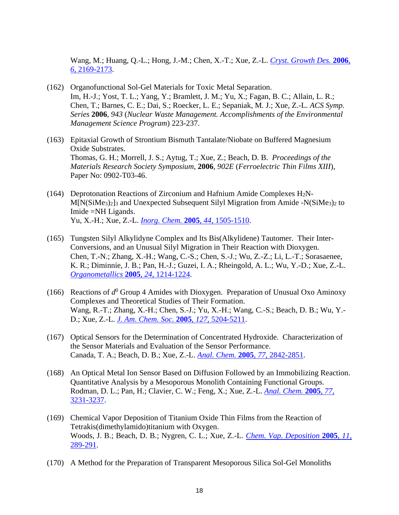Wang, M.; Huang, Q.-L.; Hong, J.-M.; Chen, X.-T.; Xue, Z.-L. *Cryst. [Growth Des.](http://dx.doi.org/10.1021/cg0601709)* **2006**, *6*[, 2169-2173.](http://dx.doi.org/10.1021/cg0601709)

- (162) Organofunctional Sol-Gel Materials for Toxic Metal Separation. Im, H.-J.; Yost, T. L.; Yang, Y.; Bramlett, J. M.; Yu, X.; Fagan, B. C.; Allain, L. R.; Chen, T.; Barnes, C. E.; Dai, S.; Roecker, L. E.; Sepaniak, M. J.; Xue, Z.-L. *ACS Symp. Series* **2006**, *943* (*Nuclear Waste Management. Accomplishments of the Environmental Management Science Program*) 223-237.
- (163) Epitaxial Growth of Strontium Bismuth Tantalate/Niobate on Buffered Magnesium Oxide Substrates. Thomas, G. H.; Morrell, J. S.; Aytug, T.; Xue, Z.; Beach, D. B. *Proceedings of the Materials Research Society Symposium*, **2006**, *902E* (*Ferroelectric Thin Films XIII*), Paper No: 0902-T03-46.
- (164) Deprotonation Reactions of Zirconium and Hafnium Amide Complexes  $H_2N$ - $M[N(SiMe<sub>3</sub>)<sub>2</sub>]$ <sub>3</sub> and Unexpected Subsequent Silyl Migration from Amide -N(SiMe<sub>3</sub>)<sub>2</sub> to Imide =NH Ligands. Yu, X.-H.; Xue, Z.-L. *[Inorg. Chem.](http://dx.doi.org/10.1021/ic0485413)* **2005**, *44*, 1505-1510.
- (165) Tungsten Silyl Alkylidyne Complex and Its Bis(Alkylidene) Tautomer. Their Inter-Conversions, and an Unusual Silyl Migration in Their Reaction with Dioxygen. Chen, T.-N.; Zhang, X.-H.; Wang, C.-S.; Chen, S.-J.; Wu, Z.-Z.; Li, L.-T.; Sorasaenee, K. R.; Diminnie, J. B.; Pan, H.-J.; Guzei, I. A.; Rheingold, A. L.; Wu, Y.-D.; Xue, Z.-L. *[Organometallics](http://dx.doi.org/10.1021/om049031j)* **2005**, *24*, 1214-1224.
- (166) Reactions of  $d^0$  Group 4 Amides with Dioxygen. Preparation of Unusual Oxo Aminoxy Complexes and Theoretical Studies of Their Formation. Wang, R.-T.; Zhang, X.-H.; Chen, S.-J.; Yu, X.-H.; Wang, C.-S.; Beach, D. B.; Wu, Y.- D.; Xue, Z.-L. *[J. Am. Chem. Soc.](http://dx.doi.org/10.1021/ja042307u)* **2005**, *127*, 5204-5211.
- (167) Optical Sensors for the Determination of Concentrated Hydroxide. Characterization of the Sensor Materials and Evaluation of the Sensor Performance. Canada, T. A.; Beach, D. B.; Xue, Z.-L. *Anal. Chem.* **2005**, *77*[, 2842-2851.](http://dx.doi.org/10.1021/ac0485839)
- (168) An Optical Metal Ion Sensor Based on Diffusion Followed by an Immobilizing Reaction. Quantitative Analysis by a Mesoporous Monolith Containing Functional Groups. Rodman, D. L.; Pan, H.; Clavier, C. W.; Feng, X.; Xue, Z.-L. *[Anal. Chem.](http://dx.doi.org/10.1021/ac048305%2B)* **2005**, *77*, [3231-3237.](http://dx.doi.org/10.1021/ac048305%2B)
- (169) Chemical Vapor Deposition of Titanium Oxide Thin Films from the Reaction of Tetrakis(dimethylamido)titanium with Oxygen. Woods, J. B.; Beach, D. B.; Nygren, C. L.; Xue, Z.-L. *[Chem. Vap. Deposition](http://dx.doi.org/10.1002/cvde.200504205)* **2005**, *11*, [289-291.](http://dx.doi.org/10.1002/cvde.200504205)
- (170) A Method for the Preparation of Transparent Mesoporous Silica Sol-Gel Monoliths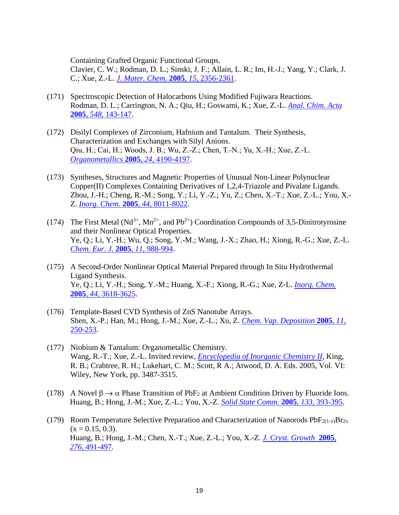Containing Grafted Organic Functional Groups.

Clavier, C. W.; Rodman, D. L.; Sinski, J. F.; Allain, L. R.; Im, H.-J.; Yang, Y.; Clark, J. C.; Xue, Z.-L. *[J. Mater. Chem.](http://dx.doi.org/10.1039/b417014h)* **2005**, *15*, 2356-2361.

- (171) Spectroscopic Detection of Halocarbons Using Modified Fujiwara Reactions. Rodman, D. L.; Carrington, N. A.; Qiu, H.; Goswami, K.; Xue, Z.-L. *[Anal. Chim. Acta](http://dx.doi.org/10.1016/j.aca.2005.05.073)* **2005**, *548*[, 143-147.](http://dx.doi.org/10.1016/j.aca.2005.05.073)
- (172) Disilyl Complexes of Zirconium, Hafnium and Tantalum. Their Synthesis, Characterization and Exchanges with Silyl Anions. Qiu, H.; Cai, H.; Woods, J. B.; Wu, Z.-Z.; Chen, T.-N.; Yu, X.-H.; Xue, Z.-L. *[Organometallics](http://dx.doi.org/10.1021/om050302f)* **2005**, *24*, 4190-4197.
- (173) Syntheses, Structures and Magnetic Properties of Unusual Non-Linear Polynuclear Copper(II) Complexes Containing Derivatives of 1,2,4-Triazole and Pivalate Ligands. Zhou, J.-H.; Cheng, R.-M.; Song, Y.; Li, Y.-Z.; Yu, Z.; Chen, X.-T.; Xue, Z.-L.; You, X.- Z. *[Inorg. Chem.](http://dx.doi.org/10.1021/ic050475x)* **2005**, *44*, 8011-8022.
- (174) The First Metal ( $Nd^{3+}$ , Mn<sup>2+</sup>, and Pb<sup>2+</sup>) Coordination Compounds of 3,5-Dinitrotyrosine and their Nonlinear Optical Properties. Ye, Q.; Li, Y.-H.; Wu, Q.; Song, Y.-M.; Wang, J.-X.; Zhao, H.; Xiong, R.-G.; Xue, Z.-L. *[Chem. Eur. J.](http://dx.doi.org/10.1002/chem.200400722)* **2005**, *11*, 988-994.
- (175) A Second-Order Nonlinear Optical Material Prepared through In Situ Hydrothermal Ligand Synthesis. Ye, Q.; Li, Y.-H.; Song, Y.-M.; Huang, X.-F.; Xiong, R.-G.; Xue, Z-L. *[Inorg. Chem.](http://dx.doi.org/10.1021/ic0500098)* **2005**, *44*[, 3618-3625.](http://dx.doi.org/10.1021/ic0500098)
- (176) Template-Based CVD Synthesis of ZnS Nanotube Arrays. Shen, X.-P.; Han, M.; Hong, J.-M.; Xue, Z.-L.; Xu, Z. *Chem. [Vap. Deposition](http://dx.doi.org/10.1002/cvde.200406350)* **2005**, *11*, [250-253.](http://dx.doi.org/10.1002/cvde.200406350)
- (177) Niobium & Tantalum: Organometallic Chemistry. Wang, R.-T.; Xue, Z.-L. Invited review, *[Encyclopedia of Inorganic Chemistry II](http://www.wiley.com/legacy/wileychi/eic2/index.html)*, King, R. B.; Crabtree, R. H.; Lukehart, C. M.; Scott, R A.; Atwood, D. A. Eds. 2005, Vol. VI: Wiley, New York, pp. 3487-3515.
- (178) A Novel  $\beta \rightarrow \alpha$  Phase Transition of PbF<sub>2</sub> at Ambient Condition Driven by Fluoride Ions. Huang, B.; Hong, J.-M.; Xue, Z.-L.; You, X.-Z. *[Solid State Comm.](http://dx.doi.org/10.1016/j.ssc.2004.11.025)* **2005**, *133*, 393-395.
- (179) Room Temperature Selective Preparation and Characterization of Nanorods  $PbF_{2(1-x)}Br_{2x}$  $(x = 0.15, 0.3)$ . Huang, B.; Hong, J.-M.; Chen, X.-T.; Xue, Z.-L.; You, X.-Z. *[J. Cryst.](http://dx.doi.org/10.1016/j.jcrysgro.2004.11.399) Growth* **2005**, *276*[, 491-497.](http://dx.doi.org/10.1016/j.jcrysgro.2004.11.399)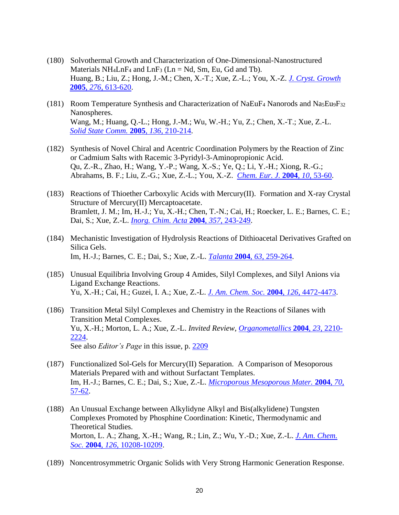- (180) Solvothermal Growth and Characterization of One-Dimensional-Nanostructured Materials  $NH_4LnF_4$  and  $LnF_3$  ( $Ln = Nd$ ,  $Sm$ ,  $Eu$ ,  $Gd$  and  $Tb$ ). Huang, B.; Liu, Z.; Hong, J.-M.; Chen, X.-T.; Xue, Z.-L.; You, X.-Z. *[J. Cryst.](http://dx.doi.org/10.1016/j.jcrysgro.2004.11.395) Growth* **2005**, *276*[, 613-620.](http://dx.doi.org/10.1016/j.jcrysgro.2004.11.395)
- (181) Room Temperature Synthesis and Characterization of NaEuF<sup>4</sup> Nanorods and Na5Eu9F<sup>32</sup> Nanospheres. Wang, M.; Huang, Q.-L.; Hong, J.-M.; Wu, W.-H.; Yu, Z.; Chen, X.-T.; Xue, Z.-L. *[Solid State Comm.](http://dx.doi.org/10.1016/j.ssc.2005.07.031)* **2005**, *136*, 210-214.
- (182) Synthesis of Novel Chiral and Acentric Coordination Polymers by the Reaction of Zinc or Cadmium Salts with Racemic 3-Pyridyl-3-Aminopropionic Acid. Qu, Z.-R., Zhao, H.; Wang, Y.-P.; Wang, X.-S.; Ye, Q.; Li, Y.-H.; Xiong, R.-G.; Abrahams, B. F.; Liu, Z.-G.; Xue, Z.-L.; You, X.-Z. *[Chem. Eur. J.](http://dx.doi.org/10.1002/chem.200305098)* **2004**, *10*, 53-60.
- (183) Reactions of Thioether Carboxylic Acids with Mercury(II). Formation and X-ray Crystal Structure of Mercury(II) Mercaptoacetate. Bramlett, J. M.; Im, H.-J.; Yu, X.-H.; Chen, T.-N.; Cai, H.; Roecker, L. E.; Barnes, C. E.; Dai, S.; Xue, Z.-L. *[Inorg. Chim. Acta](http://dx.doi.org/10.1016/S0020-1693(03)00446-8)* **2004**, *357*, 243-249.
- (184) Mechanistic Investigation of Hydrolysis Reactions of Dithioacetal Derivatives Grafted on Silica Gels. Im, H.-J.; Barnes, C. E.; Dai, S.; Xue, Z.-L. *Talanta* **2004**, *63*[, 259-264.](http://dx.doi.org/10.1016/j.talanta.2003.10.026)
- (185) Unusual Equilibria Involving Group 4 Amides, Silyl Complexes, and Silyl Anions via Ligand Exchange Reactions. Yu, X.-H.; Cai, H.; Guzei, I. A.; Xue, Z.-L. *[J. Am. Chem. Soc.](http://dx.doi.org/10.1021/ja031899y)* **2004**, *126*, 4472-4473.
- (186) Transition Metal Silyl Complexes and Chemistry in the Reactions of Silanes with Transition Metal Complexes. Yu, X.-H.; Morton, L. A.; Xue, Z.-L. *Invited Review*, *[Organometallics](http://dx.doi.org/10.1021/om049862p)* **2004**, *23*, 2210- [2224.](http://dx.doi.org/10.1021/om049862p) See also *Editor's Page* in this issue, p. [2209](http://dx.doi.org/10.1021/om049828a)
- (187) Functionalized Sol-Gels for Mercury(II) Separation. A Comparison of Mesoporous Materials Prepared with and without Surfactant Templates. Im, H.-J.; Barnes, C. E.; Dai, S.; Xue, Z.-L. *[Microporous Mesoporous Mater.](http://dx.doi.org/10.1016/j.micromeso.2004.03.002)* **2004**, *70*, [57-62.](http://dx.doi.org/10.1016/j.micromeso.2004.03.002)
- (188) An Unusual Exchange between Alkylidyne Alkyl and Bis(alkylidene) Tungsten Complexes Promoted by Phosphine Coordination: Kinetic, Thermodynamic and Theoretical Studies. Morton, L. A.; Zhang, X.-H.; Wang, R.; Lin, Z.; Wu, Y.-D.; Xue, Z.-L. *[J. Am. Chem.](http://dx.doi.org/10.1021/ja0467263)  Soc.* **2004**, *126*[, 10208-10209.](http://dx.doi.org/10.1021/ja0467263)
- (189) Noncentrosymmetric Organic Solids with Very Strong Harmonic Generation Response.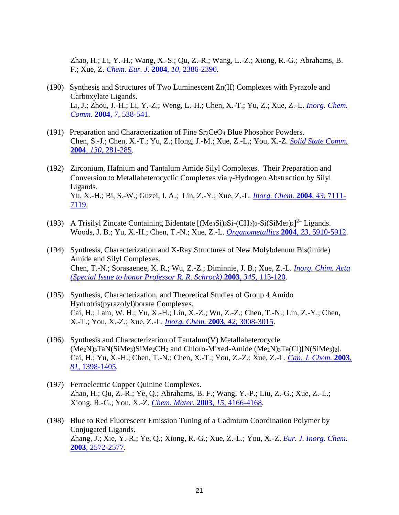Zhao, H.; Li, Y.-H.; Wang, X.-S.; Qu, Z.-R.; Wang, L.-Z.; Xiong, R.-G.; Abrahams, B. F.; Xue, Z. *[Chem. Eur. J.](http://dx.doi.org/10.1002/chem.200305425)* **2004**, *10*, 2386-2390.

- (190) Synthesis and Structures of Two Luminescent Zn(II) Complexes with Pyrazole and Carboxylate Ligands. Li, J.; Zhou, J.-H.; Li, Y.-Z.; Weng, L.-H.; Chen, X.-T.; Yu, Z.; Xue, Z.-L. *[Inorg. Chem.](http://dx.doi.org/10.1016/j.inoche.2004.02.009)  Comm*. **2004**, *7*[, 538-541.](http://dx.doi.org/10.1016/j.inoche.2004.02.009)
- (191) Preparation and Characterization of Fine Sr2CeO<sup>4</sup> Blue Phosphor Powders. Chen, S.-J.; Chen, X.-T.; Yu, Z.; Hong, J.-M.; Xue, Z.-L.; You, X.-Z. *[Solid State Comm.](http://dx.doi.org/10.1016/j.ssc.2004.01.038)* **2004**, *130*[, 281-285.](http://dx.doi.org/10.1016/j.ssc.2004.01.038)
- (192) Zirconium, Hafnium and Tantalum Amide Silyl Complexes. Their Preparation and Conversion to Metallaheterocyclic Complexes via  $\gamma$ -Hydrogen Abstraction by Silyl Ligands. Yu, X.-H.; Bi, S.-W.; Guzei, I. A.; Lin, Z.-Y.; Xue, Z.-L. *[Inorg. Chem.](http://dx.doi.org/10.1021/ic049023v)* **2004**, *43*, 7111- [7119.](http://dx.doi.org/10.1021/ic049023v)
- (193) A Trisilyl Zincate Containing Bidentate  $[(Me<sub>3</sub>Si)<sub>2</sub>Si-(CH<sub>2</sub>)<sub>2</sub>-Si(SiMe<sub>3</sub>)<sub>2</sub>]<sup>2</sup> Ligands.$ Woods, J. B.; Yu, X.-H.; Chen, T.-N.; Xue, Z.-L. *[Organometallics](http://dx.doi.org/10.1021/om049277o)* **2004**, *23*, 5910-5912.
- (194) Synthesis, Characterization and X-Ray Structures of New Molybdenum Bis(imide) Amide and Silyl Complexes. Chen, T.-N.; Sorasaenee, K. R.; Wu, Z.-Z.; Diminnie, J. B.; Xue, Z.-L. *[Inorg. Chim. Acta](http://dx.doi.org/10.1016/S0020-1693(02)01271-9) [\(Special Issue to honor Professor R. R. Schrock\)](http://dx.doi.org/10.1016/S0020-1693(02)01271-9)* **2003**, *345*, 113-120.
- (195) Synthesis, Characterization, and Theoretical Studies of Group 4 Amido Hydrotris(pyrazolyl)borate Complexes. Cai, H.; Lam, W. H.; Yu, X.-H.; Liu, X.-Z.; Wu, Z.-Z.; Chen, T.-N.; Lin, Z.-Y.; Chen, X.-T.; You, X.-Z.; Xue, Z.-L. *[Inorg. Chem.](http://dx.doi.org/10.1021/ic026063v)* **2003**, *42*, 3008-3015.
- (196) Synthesis and Characterization of Tantalum(V) Metallaheterocycle (Me2N)3TaN(SiMe3)SiMe2CH<sup>2</sup> and Chloro-Mixed-Amide (Me2N)3Ta(Cl)[N(SiMe3)2]. Cai, H.; Yu, X.-H.; Chen, T.-N.; Chen, X.-T.; You, Z.-Z.; Xue, Z.-L. *[Can. J. Chem.](http://dx.doi.org/10.1139/v03-140)* **2003**, *81*[, 1398-1405.](http://dx.doi.org/10.1139/v03-140)
- (197) Ferroelectric Copper Quinine Complexes. Zhao, H.; Qu, Z.-R.; Ye, Q.; Abrahams, B. F.; Wang, Y.-P.; Liu, Z.-G.; Xue, Z.-L.; Xiong, R.-G.; You, X.-Z. *[Chem. Mater.](http://dx.doi.org/10.1021/cm034301u)* **2003**, *15*, 4166-4168.
- (198) Blue to Red Fluorescent Emission Tuning of a Cadmium Coordination Polymer by Conjugated Ligands. Zhang, J.; Xie, Y.-R.; Ye, Q.; Xiong, R.-G.; Xue, Z.-L.; You, X.-Z. *[Eur. J. Inorg. Chem.](http://dx.doi.org/10.1002/ejic.200300230)* **2003**[, 2572-2577.](http://dx.doi.org/10.1002/ejic.200300230)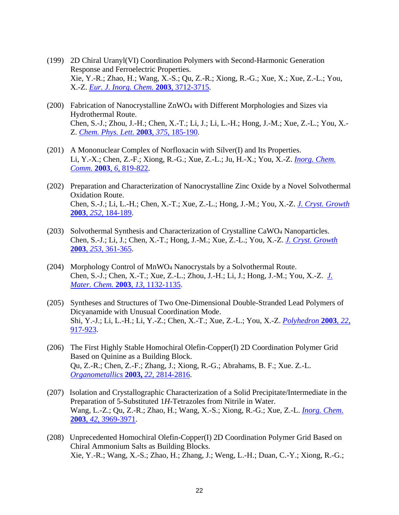- (199) 2D Chiral Uranyl(VI) Coordination Polymers with Second-Harmonic Generation Response and Ferroelectric Properties. Xie, Y.-R.; Zhao, H.; Wang, X.-S.; Qu, Z.-R.; Xiong, R.-G.; Xue, X.; Xue, Z.-L.; You, X.-Z. *[Eur. J. Inorg. Chem.](http://dx.doi.org/10.1002/ejic.200300483)* **2003**, 3712-3715.
- (200) Fabrication of Nanocrystalline ZnWO<sup>4</sup> with Different Morphologies and Sizes via Hydrothermal Route. Chen, S.-J.; Zhou, J.-H.; Chen, X.-T.; Li, J.; Li, L.-H.; Hong, J.-M.; Xue, Z.-L.; You, X.- Z. *[Chem. Phys. Lett.](http://dx.doi.org/10.1016/S0009-2614(03)00878-9)* **2003**, *375*, 185-190.
- (201) A Mononuclear Complex of Norfloxacin with Silver(I) and Its Properties. Li, Y.-X.; Chen, Z.-F.; Xiong, R.-G.; Xue, Z.-L.; Ju, H.-X.; You, X.-Z. *[Inorg. Chem.](http://dx.doi.org/10.1016/S1387-7003(03)00115-1)  Comm.* **2003**, *6*[, 819-822.](http://dx.doi.org/10.1016/S1387-7003(03)00115-1)
- (202) Preparation and Characterization of Nanocrystalline Zinc Oxide by a Novel Solvothermal Oxidation Route. Chen, S.-J.; Li, L.-H.; Chen, X.-T.; Xue, Z.-L.; Hong, J.-M.; You, X.-Z. *[J. Cryst. Growth](http://dx.doi.org/10.1016/S0022-0248(02)02495-8)*  **2003**, *252*[, 184-189.](http://dx.doi.org/10.1016/S0022-0248(02)02495-8)
- (203) Solvothermal Synthesis and Characterization of Crystalline CaWO<sup>4</sup> Nanoparticles. Chen, S.-J.; Li, J.; Chen, X.-T.; Hong, J.-M.; Xue, Z.-L.; You, X.-Z. *[J. Cryst. Growth](http://dx.doi.org/10.1016/S0022-0248(03)01089-3)*  **2003**, *253*[, 361-365.](http://dx.doi.org/10.1016/S0022-0248(03)01089-3)
- (204) Morphology Control of MnWO<sup>4</sup> Nanocrystals by a Solvothermal Route. Chen, S.-J.; Chen, X.-T.; Xue, Z.-L.; Zhou, J.-H.; Li, J.; Hong, J.-M.; You, X.-Z. *[J.](http://dx.doi.org/10.1039/B300457K)  [Mater. Chem.](http://dx.doi.org/10.1039/B300457K)* **2003**, *13*, 1132-1135.
- (205) Syntheses and Structures of Two One-Dimensional Double-Stranded Lead Polymers of Dicyanamide with Unusual Coordination Mode. Shi, Y.-J.; Li, L.-H.; Li, Y.-Z.; Chen, X.-T.; Xue, Z.-L.; You, X.-Z. *[Polyhedron](http://dx.doi.org/10.1016/S0277-5387(03)00030-5)* **2003**, *22*, [917-923.](http://dx.doi.org/10.1016/S0277-5387(03)00030-5)
- (206) The First Highly Stable Homochiral Olefin-Copper(I) 2D Coordination Polymer Grid Based on Quinine as a Building Block. Qu, Z.-R.; Chen, Z.-F.; Zhang, J.; Xiong, R.-G.; Abrahams, B. F.; Xue. Z.-L. *[Organometallics](http://dx.doi.org/10.1021/om030134w)* **2003,** *22,* 2814-2816.
- (207) Isolation and Crystallographic Characterization of a Solid Precipitate/Intermediate in the Preparation of 5-Substituted 1*H*-Tetrazoles from Nitrile in Water. Wang, L.-Z.; Qu, Z.-R.; Zhao, H.; Wang, X.-S.; Xiong, R.-G.; Xue, Z.-L. *[Inorg. Chem.](http://dx.doi.org/10.1021/ic034116i)* **2003**, *42*[, 3969-3971.](http://dx.doi.org/10.1021/ic034116i)
- (208) Unprecedented Homochiral Olefin-Copper(I) 2D Coordination Polymer Grid Based on Chiral Ammonium Salts as Building Blocks. Xie, Y.-R.; Wang, X.-S.; Zhao, H.; Zhang, J.; Weng, L.-H.; Duan, C.-Y.; Xiong, R.-G.;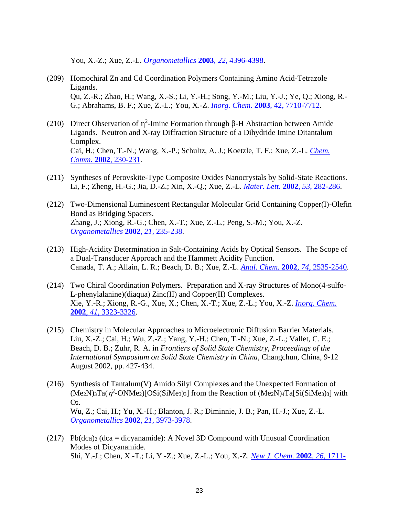You, X.-Z.; Xue, Z.-L. *[Organometallics](http://dx.doi.org/10.1021/om034077i)* **2003**, *22*, 4396-4398.

- (209) Homochiral Zn and Cd Coordination Polymers Containing Amino Acid-Tetrazole Ligands. Qu, Z.-R.; Zhao, H.; Wang, X.-S.; Li, Y.-H.; Song, Y.-M.; Liu, Y.-J.; Ye, Q.; Xiong, R.- G.; Abrahams, B. F.; Xue, Z.-L.; You, X.-Z. *Inorg. Chem.* **2003**[, 42, 7710-7712.](http://dx.doi.org/10.1021/ic034685q)
- (210) Direct Observation of  $\eta^2$ -Imine Formation through  $\beta$ -H Abstraction between Amide Ligands. Neutron and X-ray Diffraction Structure of a Dihydride Imine Ditantalum Complex. Cai, H.; Chen, T.-N.; Wang, X.-P.; Schultz, A. J.; Koetzle, T. F.; Xue, Z.-L. *[Chem.](http://www.rsc.org/ej/CC/2002/b108913g.pdf)  Comm.* **2002**[, 230-231.](http://www.rsc.org/ej/CC/2002/b108913g.pdf)
- (211) Syntheses of Perovskite-Type Composite Oxides Nanocrystals by Solid-State Reactions. Li, F.; Zheng, H.-G.; Jia, D.-Z.; Xin, X.-Q.; Xue, Z.-L. *[Mater. Lett.](http://dx.doi.org/10.1016/S0167-577X(01)00494-3)* **2002**, *53*, 282-286.
- (212) Two-Dimensional Luminescent Rectangular Molecular Grid Containing Copper(I)-Olefin Bond as Bridging Spacers. Zhang, J.; Xiong, R.-G.; Chen, X.-T.; Xue, Z.-L.; Peng, S.-M.; You, X.-Z. *[Organometallics](http://dx.doi.org/10.1021/om010665p)* **2002**, *21*, 235-238.
- (213) High-Acidity Determination in Salt-Containing Acids by Optical Sensors. The Scope of a Dual-Transducer Approach and the Hammett Acidity Function. Canada, T. A.; Allain, L. R.; Beach, D. B.; Xue, Z.-L. *Anal. Chem.* **2002**, *74*[, 2535-2540.](http://dx.doi.org/10.1021/ac0200623)
- (214) Two Chiral Coordination Polymers. Preparation and X-ray Structures of Mono(4-sulfo-L-phenylalanine)(diaqua) Zinc(II) and Copper(II) Complexes. Xie, Y.-R.; Xiong, R.-G., Xue, X.; Chen, X.-T.; Xue, Z.-L.; You, X.-Z. *[Inorg. Chem.](http://dx.doi.org/10.1021/ic010862g)* **2002**, *41*[, 3323-3326.](http://dx.doi.org/10.1021/ic010862g)
- (215) Chemistry in Molecular Approaches to Microelectronic Diffusion Barrier Materials. Liu, X.-Z.; Cai, H.; Wu, Z.-Z.; Yang, Y.-H.; Chen, T.-N.; Xue, Z.-L.; Vallet, C. E.; Beach, D. B.; Zuhr, R. A. in *Frontiers of Solid State Chemistry*, *Proceedings of the International Symposium on Solid State Chemistry in China*, Changchun, China, 9-12 August 2002, pp. 427-434.
- (216) Synthesis of Tantalum(V) Amido Silyl Complexes and the Unexpected Formation of  $(Me_2N)$ <sub>3</sub>Ta( $\eta^2$ -ONMe<sub>2</sub>)[OSi(SiMe<sub>3</sub>)<sub>3</sub>] from the Reaction of  $(Me_2N)$ <sub>4</sub>Ta[Si(SiMe<sub>3</sub>)<sub>3</sub>] with O2. Wu, Z.; Cai, H.; Yu, X.-H.; Blanton, J. R.; Diminnie, J. B.; Pan, H.-J.; Xue, Z.-L. *[Organometallics](http://dx.doi.org/10.1021/om020537g)* **2002**, *21*, 3973-3978.
- (217) Pb(dca)<sub>2</sub> (dca = dicyanamide): A Novel 3D Compound with Unusual Coordination Modes of Dicyanamide. Shi, Y.-J.; Chen, X.-T.; Li, Y.-Z.; Xue, Z.-L.; You, X.-Z. *[New J. Chem](http://dx.doi.org/10.1039/B206332H)*. **2002**, *26*, 1711-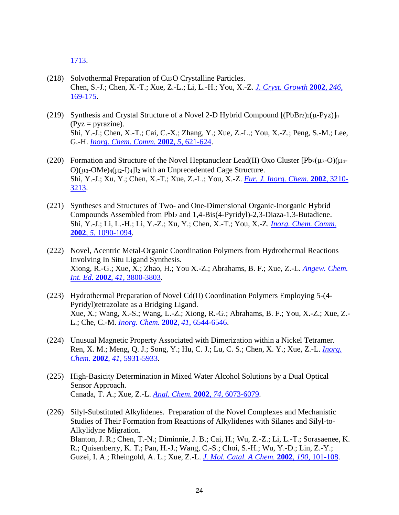[1713.](http://dx.doi.org/10.1039/B206332H)

- (218) Solvothermal Preparation of Cu2O Crystalline Particles. Chen, S.-J.; Chen, X.-T.; Xue, Z.-L.; Li, L.-H.; You, X.-Z. *[J. Cryst. Growth](http://dx.doi.org/10.1016/S0022-0248(02)01902-4)* **2002**, *246*, [169-175.](http://dx.doi.org/10.1016/S0022-0248(02)01902-4)
- (219) Synthesis and Crystal Structure of a Novel 2-D Hybrid Compound  $[(PbBr_2)_2(\mu-Pyz)]_n$  $(Pyz = pyrazine)$ . Shi, Y.-J.; Chen, X.-T.; Cai, C.-X.; Zhang, Y.; Xue, Z.-L.; You, X.-Z.; Peng, S.-M.; Lee, G.-H. *[Inorg. Chem. Comm.](http://dx.doi.org/10.1016/S1387-7003(02)00508-7)* **2002**, *5*, 621-624.
- (220) Formation and Structure of the Novel Heptanuclear Lead(II) Oxo Cluster  $[Pb_7(\mu_3-O)(\mu_4-O)]$  $O((\mu_3\text{-}OMe)_4(\mu_2-I)_4)I_2$  with an Unprecedented Cage Structure. Shi, Y.-J.; Xu, Y.; Chen, X.-T.; Xue, Z.-L.; You, X.-Z. *[Eur. J. Inorg. Chem.](http://dx.doi.org/10.1002/1099-0682(200212)2002:12%3c3210::AID-EJIC3210%3e3.0.CO;2-7)* **2002**, 3210- [3213.](http://dx.doi.org/10.1002/1099-0682(200212)2002:12%3c3210::AID-EJIC3210%3e3.0.CO;2-7)
- (221) Syntheses and Structures of Two- and One-Dimensional Organic-Inorganic Hybrid Compounds Assembled from PbI<sup>2</sup> and 1,4-Bis(4-Pyridyl)-2,3-Diaza-1,3-Butadiene. Shi, Y.-J.; Li, L.-H.; Li, Y.-Z.; Xu, Y.; Chen, X.-T.; You, X.-Z. *[Inorg. Chem. Comm.](http://dx.doi.org/10.1016/S1387-7003(02)00669-X)* **2002**, *5*[, 1090-1094.](http://dx.doi.org/10.1016/S1387-7003(02)00669-X)
- (222) Novel, Acentric Metal-Organic Coordination Polymers from Hydrothermal Reactions Involving In Situ Ligand Synthesis. Xiong, R.-G.; Xue, X.; Zhao, H.; You X.-Z.; Abrahams, B. F.; Xue, Z.-L. *[Angew. Chem.](http://dx.doi.org/10.1002/1521-3773(20021018)41:20%3c3800::AID-ANIE3800%3e3.0.CO;2-3)  Int. Ed.* **2002**, *41*[, 3800-3803.](http://dx.doi.org/10.1002/1521-3773(20021018)41:20%3c3800::AID-ANIE3800%3e3.0.CO;2-3)
- (223) Hydrothermal Preparation of Novel Cd(II) Coordination Polymers Employing 5-(4- Pyridyl)tetrazolate as a Bridging Ligand. Xue, X.; Wang, X.-S.; Wang, L.-Z.; Xiong, R.-G.; Abrahams, B. F.; You, X.-Z.; Xue, Z.- L.; Che, C.-M. *[Inorg. Chem.](http://dx.doi.org/10.1021/ic0257118)* **2002**, *41*, 6544-6546.
- (224) Unusual Magnetic Property Associated with Dimerization within a Nickel Tetramer. Ren, X. M.; Meng, Q. J.; Song, Y.; Hu, C. J.; Lu, C. S.; Chen, X. Y.; Xue, Z.-L. *[Inorg.](http://dx.doi.org/10.1021/ic0255860)  Chem.* **2002**, *41*[, 5931-5933.](http://dx.doi.org/10.1021/ic0255860)
- (225) High-Basicity Determination in Mixed Water Alcohol Solutions by a Dual Optical Sensor Approach. Canada, T. A.; Xue, Z.-L. *Anal. Chem.* **2002**, *74*[, 6073-6079.](http://dx.doi.org/10.1021/ac0202987)
- (226) Silyl-Substituted Alkylidenes. Preparation of the Novel Complexes and Mechanistic Studies of Their Formation from Reactions of Alkylidenes with Silanes and Silyl-to-Alkylidyne Migration. Blanton, J. R.; Chen, T.-N.; Diminnie, J. B.; Cai, H.; Wu, Z.-Z.; Li, L.-T.; Sorasaenee, K. R.; Quisenberry, K. T.; Pan, H.-J.; Wang, C.-S.; Choi, S.-H.; Wu, Y.-D.; Lin, Z.-Y.; Guzei, I. A.; Rheingold, A. L.; Xue, Z.-L. *[J. Mol. Catal. A Chem.](http://dx.doi.org/10.1016/S1381-1169(02)00221-2)* **2002**, *190*, 101-108.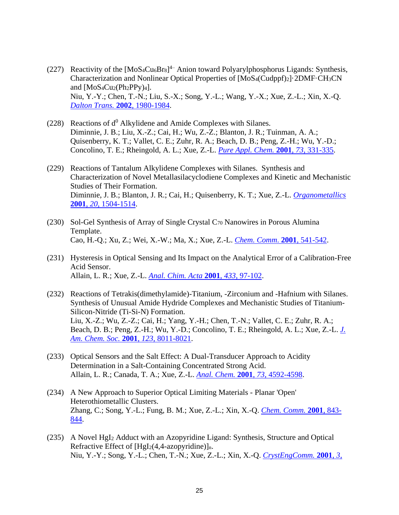- (227) Reactivity of the  $[MoS_4Cu<sub>6</sub>Br<sub>8</sub>]<sup>4</sup>$  Anion toward Polyarylphosphorus Ligands: Synthesis, Characterization and Nonlinear Optical Properties of [MoS4(Cudppf)2]·2DMF·CH3CN and  $[MoS_4Cu_2(Ph_2PPv)_4]$ . Niu, Y.-Y.; Chen, T.-N.; Liu, S.-X.; Song, Y.-L.; Wang, Y.-X.; Xue, Z.-L.; Xin, X.-Q. *[Dalton Trans.](http://dx.doi.org/10.1039/B109103D)* **2002**, 1980-1984.
- (228) Reactions of  $d^0$  Alkylidene and Amide Complexes with Silanes. Diminnie, J. B.; Liu, X.-Z.; Cai, H.; Wu, Z.-Z.; Blanton, J. R.; Tuinman, A. A.; Quisenberry, K. T.; Vallet, C. E.; Zuhr, R. A.; Beach, D. B.; Peng, Z.-H.; Wu, Y.-D.; Concolino, T. E.; Rheingold, A. L.; Xue, Z.-L. *[Pure Appl. Chem.](http://www.iupac.org/publications/pac/2001/pdf/7302x0331.pdf)* **2001**, *73*, 331-335.
- (229) Reactions of Tantalum Alkylidene Complexes with Silanes. Synthesis and Characterization of Novel Metallasilacyclodiene Complexes and Kinetic and Mechanistic Studies of Their Formation. Diminnie, J. B.; Blanton, J. R.; Cai, H.; Quisenberry, K. T.; Xue, Z.-L. *[Organometallics](http://dx.doi.org/10.1021/om000476r)* **2001**, *20,* [1504-1514.](http://dx.doi.org/10.1021/om000476r)
- (230) Sol-Gel Synthesis of Array of Single Crystal C<sup>70</sup> Nanowires in Porous Alumina Template. Cao, H.-Q.; Xu, Z.; Wei, X.-W.; Ma, X.; Xue, Z.-L. *[Chem. Comm](http://www.rsc.org/ej/CC/2001/b100863n.pdf)*. **2001**, 541-542.
- (231) Hysteresis in Optical Sensing and Its Impact on the Analytical Error of a Calibration-Free Acid Sensor. Allain, L. R.; Xue, Z.-L. *[Anal. Chim. Acta](http://dx.doi.org/10.1016/S0003-2670(00)01392-1)* **2001**, *433*, 97-102.
- (232) Reactions of Tetrakis(dimethylamide)-Titanium, -Zirconium and -Hafnium with Silanes. Synthesis of Unusual Amide Hydride Complexes and Mechanistic Studies of Titanium-Silicon-Nitride (Ti-Si-N) Formation. Liu, X.-Z.; Wu, Z.-Z.; Cai, H.; Yang, Y.-H.; Chen, T.-N.; Vallet, C. E.; Zuhr, R. A.; Beach, D. B.; Peng, Z.-H.; Wu, Y.-D.; Concolino, T. E.; Rheingold, A. L.; Xue, Z.-L. *[J.](http://dx.doi.org/10.1021/ja010744s)  [Am. Chem. Soc.](http://dx.doi.org/10.1021/ja010744s)* **2001**, *123*, 8011-8021.
- (233) Optical Sensors and the Salt Effect: A Dual-Transducer Approach to Acidity Determination in a Salt-Containing Concentrated Strong Acid. Allain, L. R.; Canada, T. A.; Xue, Z.-L. *Anal. Chem.* **2001**, *73*[, 4592-4598.](http://dx.doi.org/10.1021/ac010166y)
- (234) A New Approach to Superior Optical Limiting Materials Planar 'Open' Heterothiometallic Clusters. Zhang, C.; Song, Y.-L.; Fung, B. M.; Xue, Z.-L.; Xin, X.-Q. *[Chem. Comm.](http://dx.doi.org/10.1039/b100395j)* **2001**, 843- [844.](http://dx.doi.org/10.1039/b100395j)
- (235) A Novel HgI<sup>2</sup> Adduct with an Azopyridine Ligand: Synthesis, Structure and Optical Refractive Effect of  $[HgI_2(4,4-azopyridine)]_n$ . Niu, Y.-Y.; Song, Y.-L.; Chen, T.-N.; Xue, Z.-L.; Xin, X.-Q. *[CrystEngComm.](http://dx.doi.org/10.1039/B105883p)* **2001**, *3*,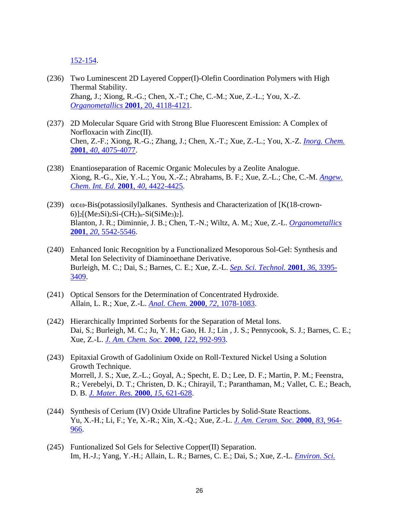[152-154.](http://dx.doi.org/10.1039/B105883p)

- (236) Two Luminescent 2D Layered Copper(I)-Olefin Coordination Polymers with High Thermal Stability. Zhang, J.; Xiong, R.-G.; Chen, X.-T.; Che, C.-M.; Xue, Z.-L.; You, X.-Z. *[Organometallics](http://dx.doi.org/10.1021/om001033q)* **2001**, 20, 4118-4121.
- (237) 2D Molecular Square Grid with Strong Blue Fluorescent Emission: A Complex of Norfloxacin with Zinc(II). Chen, Z.-F.; Xiong, R.-G.; Zhang, J.; Chen, X.-T.; Xue, Z.-L.; You, X.-Z. *[Inorg. Chem.](http://dx.doi.org/10.1021/ic001470x)*  **2001**, *40,* [4075-4077.](http://dx.doi.org/10.1021/ic001470x)
- (238) Enantioseparation of Racemic Organic Molecules by a Zeolite Analogue. Xiong, R.-G., Xie, Y.-L.; You, X.-Z.; Abrahams, B. F.; Xue, Z.-L.; Che, C.-M. *[Angew.](http://dx.doi.org/10.1002/1521-3773(20011203)40:23%3c4422::AID-ANIE4422%3e3.0.CO;2-G)  [Chem. Int. Ed.](http://dx.doi.org/10.1002/1521-3773(20011203)40:23%3c4422::AID-ANIE4422%3e3.0.CO;2-G)* **2001**, *40*, 4422-4425.
- (239)  $\alpha \in \omega$ -Bis(potassiosilyl)alkanes. Synthesis and Characterization of [K(18-crown-6)]<sub>2</sub>[(Me<sub>3</sub>Si)<sub>2</sub>Si-(CH<sub>2</sub>)<sub>n</sub>-Si(SiMe<sub>3</sub>)<sub>2</sub>]. Blanton, J. R.; Diminnie, J. B.; Chen, T.-N.; Wiltz, A. M.; Xue, Z.-L. *[Organometallics](http://dx.doi.org/10.1021/om010692f)* **2001**, *20*[, 5542-5546.](http://dx.doi.org/10.1021/om010692f)
- (240) Enhanced Ionic Recognition by a Functionalized Mesoporous Sol-Gel: Synthesis and Metal Ion Selectivity of Diaminoethane Derivative. Burleigh, M. C.; Dai, S.; Barnes, C. E.; Xue, Z.-L. *[Sep. Sci. Technol.](http://dx.doi.org/10.1081/SS-100107910)* **2001**, *36*, 3395- [3409.](http://dx.doi.org/10.1081/SS-100107910)
- (241) Optical Sensors for the Determination of Concentrated Hydroxide. Allain, L. R.; Xue, Z.-L. *Anal. Chem.* **2000**, *72*[, 1078-1083.](http://dx.doi.org/10.1021/ac990908b)
- (242) Hierarchically Imprinted Sorbents for the Separation of Metal Ions. Dai, S.; Burleigh, M. C.; Ju, Y. H.; Gao, H. J.; Lin , J. S.; Pennycook, S. J.; Barnes, C. E.; Xue, Z.-L. *[J. Am. Chem. Soc.](http://dx.doi.org/10.1021/ja993168x)* **2000**, *122*, 992-993.
- (243) Epitaxial Growth of Gadolinium Oxide on Roll-Textured Nickel Using a Solution Growth Technique. Morrell, J. S.; Xue, Z.-L.; Goyal, A.; Specht, E. D.; Lee, D. F.; Martin, P. M.; Feenstra, R.; Verebelyi, D. T.; Christen, D. K.; Chirayil, T.; Paranthaman, M.; Vallet, C. E.; Beach, D. B. *[J. Mater. Res.](http://dx.doi.org/10.1557/JMR.2000.0092)* **2000***, 15,* 621-628.
- (244) Synthesis of Cerium (IV) Oxide Ultrafine Particles by Solid-State Reactions. Yu, X.-H.; Li, F.; Ye, X.-R.; Xin, X.-Q.; Xue, Z.-L. *[J. Am. Ceram. Soc.](http://dx.doi.org/10.1111/j.1151-2916.2000.tb01306.x)* **2000**, *83*, 964- [966.](http://dx.doi.org/10.1111/j.1151-2916.2000.tb01306.x)
- (245) Funtionalized Sol Gels for Selective Copper(II) Separation. Im, H.-J.; Yang, Y.-H.; Allain, L. R.; Barnes, C. E.; Dai, S.; Xue, Z.-L. *[Environ. Sci.](http://dx.doi.org/10.1021/es9911014)*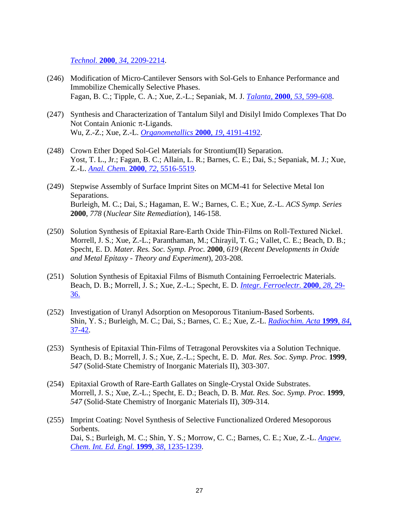*Technol.* **2000**, *34*[, 2209-2214.](http://dx.doi.org/10.1021/es9911014)

- (246) Modification of Micro-Cantilever Sensors with Sol-Gels to Enhance Performance and Immobilize Chemically Selective Phases. Fagan, B. C.; Tipple, C. A.; Xue, Z.-L.; Sepaniak, M. J. *Talanta*, **2000**, *53*[, 599-608.](http://dx.doi.org/10.1016/S0039-9140(00)00533-6)
- (247) Synthesis and Characterization of Tantalum Silyl and Disilyl Imido Complexes That Do Not Contain Anionic  $\pi$ -Ligands. Wu, Z.-Z.; Xue, Z.-L. *[Organometallics](http://dx.doi.org/10.1021/om000503d)* **2000**, *19*, 4191-4192.
- (248) Crown Ether Doped Sol-Gel Materials for Strontium(II) Separation. Yost, T. L., Jr.; Fagan, B. C.; Allain, L. R.; Barnes, C. E.; Dai, S.; Sepaniak, M. J.; Xue, Z.-L. *Anal. Chem.* **2000**, *72*[, 5516-5519.](http://dx.doi.org/10.1021/ac0005518)
- (249) Stepwise Assembly of Surface Imprint Sites on MCM-41 for Selective Metal Ion Separations. Burleigh, M. C.; Dai, S.; Hagaman, E. W.; Barnes, C. E.; Xue, Z.-L. *ACS Symp. Series* **2000**, *778* (*Nuclear Site Remediation*), 146-158.
- (250) Solution Synthesis of Epitaxial Rare-Earth Oxide Thin-Films on Roll-Textured Nickel. Morrell, J. S.; Xue, Z.-L.; Paranthaman, M.; Chirayil, T. G.; Vallet, C. E.; Beach, D. B.; Specht, E. D. *Mater. Res. Soc. Symp. Proc.* **2000**, *619* (*Recent Developments in Oxide and Metal Epitaxy - Theory and Experiment*), 203-208.
- (251) Solution Synthesis of Epitaxial Films of Bismuth Containing Ferroelectric Materials. Beach, D. B.; Morrell, J. S.; Xue, Z.-L.; Specht, E. D. *[Integr. Ferroelectr.](http://dx.doi.org/10.1080/10584580008222218)* **2000**, *28*, 29- [36.](http://dx.doi.org/10.1080/10584580008222218)
- (252) Investigation of Uranyl Adsorption on Mesoporous Titanium-Based Sorbents. Shin, Y. S.; Burleigh, M. C.; Dai, S.; Barnes, C. E.; Xue, Z.-L. *[Radiochim. Acta](http://dx.doi.org/10.1524/ract.1999.84.1.37)* **1999**, *84*, [37-42.](http://dx.doi.org/10.1524/ract.1999.84.1.37)
- (253) Synthesis of Epitaxial Thin-Films of Tetragonal Perovskites via a Solution Technique. Beach, D. B.; Morrell, J. S.; Xue, Z.-L.; Specht, E. D. *Mat. Res. Soc. Symp. Proc.* **1999**, *547* (Solid-State Chemistry of Inorganic Materials II), 303-307.
- (254) Epitaxial Growth of Rare-Earth Gallates on Single-Crystal Oxide Substrates. Morrell, J. S.; Xue, Z.-L.; Specht, E. D.; Beach, D. B. *Mat. Res. Soc. Symp. Proc.* **1999**, *547* (Solid-State Chemistry of Inorganic Materials II), 309-314.
- (255) Imprint Coating: Novel Synthesis of Selective Functionalized Ordered Mesoporous Sorbents. Dai, S.; Burleigh, M. C.; Shin, Y. S.; Morrow, C. C.; Barnes, C. E.; Xue, Z.-L. *[Angew.](http://dx.doi.org/10.1002/(SICI)1521-3773(19990503)38:9%3c1235::AID-ANIE1235%3e3.0.CO;2-X)  [Chem. Int. Ed. Engl.](http://dx.doi.org/10.1002/(SICI)1521-3773(19990503)38:9%3c1235::AID-ANIE1235%3e3.0.CO;2-X)* **1999**, *38*, 1235-1239.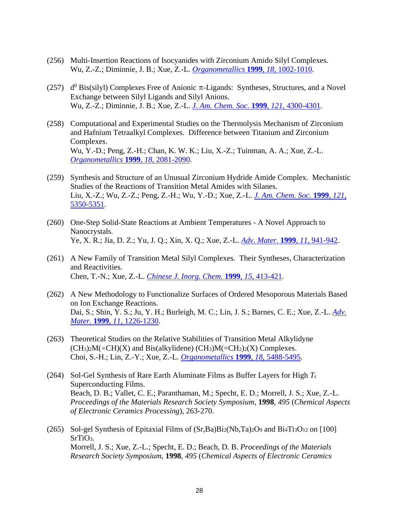- (256) Multi-Insertion Reactions of Isocyanides with Zirconium Amido Silyl Complexes. Wu, Z.-Z.; Diminnie, J. B.; Xue, Z.-L. *[Organometallics](http://dx.doi.org/10.1021/om980979l)* **1999**, *18*, 1002-1010.
- (257)  $d^0$  Bis(silyl) Complexes Free of Anionic  $\pi$ -Ligands: Syntheses, Structures, and a Novel Exchange between Silyl Ligands and Silyl Anions. Wu, Z.-Z.; Diminnie, J. B.; Xue, Z.-L. *[J. Am. Chem. Soc.](http://dx.doi.org/10.1021/ja984424t)* **1999**, *121*, 4300-4301.
- (258) Computational and Experimental Studies on the Thermolysis Mechanism of Zirconium and Hafnium Tetraalkyl Complexes. Difference between Titanium and Zirconium Complexes. Wu, Y.-D.; Peng, Z.-H.; Chan, K. W. K.; Liu, X.-Z.; Tuinman, A. A.; Xue, Z.-L. *[Organometallics](http://dx.doi.org/10.1021/om980595v)* **1999**, *18*, 2081-2090.
- (259) Synthesis and Structure of an Unusual Zirconium Hydride Amide Complex. Mechanistic Studies of the Reactions of Transition Metal Amides with Silanes. Liu, X.-Z.; Wu, Z.-Z.; Peng, Z.-H.; Wu, Y.-D.; Xue, Z.-L. *[J. Am. Chem. Soc.](http://dx.doi.org/10.1021/ja984324n)* **1999**, *121*, [5350-5351.](http://dx.doi.org/10.1021/ja984324n)
- (260) One-Step Solid-State Reactions at Ambient Temperatures A Novel Approach to Nanocrystals. Ye, X. R.; Jia, D. Z.; Yu, J. Q.; Xin, X. Q.; Xue, Z.-L. *[Adv. Mater.](http://dx.doi.org/10.1002/(SICI)1521-4095(199908)11:11%3c941::AID-ADMA941%3e3.0.CO;2-T)* **1999**, *11*, 941-942.
- (261) A New Family of Transition Metal Silyl Complexes. Their Syntheses, Characterization and Reactivities. Chen, T.-N.; Xue, Z.-L. *[Chinese J. Inorg. Chem.](http://www.wjhxxb.cn/wjhxxbcn/ch/reader/view_abstract.aspx?file_no=19990401)* **1999**, *15*, 413-421.
- (262) A New Methodology to Functionalize Surfaces of Ordered Mesoporous Materials Based on Ion Exchange Reactions. Dai, S.; Shin, Y. S.; Ju, Y. H.; Burleigh, M. C.; Lin, J. S.; Barnes, C. E.; Xue, Z.-L. *[Adv.](http://dx.doi.org/10.1002/(SICI)1521-4095(199910)11:14%3c1226::AID-ADMA1226%3e3.0.CO;2-Q)  Mater.* **1999**, *11*[, 1226-1230.](http://dx.doi.org/10.1002/(SICI)1521-4095(199910)11:14%3c1226::AID-ADMA1226%3e3.0.CO;2-Q)
- (263) Theoretical Studies on the Relative Stabilities of Transition Metal Alkylidyne  $(CH<sub>3</sub>)<sub>2</sub>M( $\equiv$ CH)(X) and Bis(alkylidene) (CH<sub>3</sub>) $M( $\equiv$ CH<sub>2</sub>)<sub>2</sub>(X) Complexes.$$ Choi, S.-H.; Lin, Z.-Y.; Xue, Z.-L. *[Organometallics](http://dx.doi.org/10.1021/om990501x)* **1999**, *18*, 5488-5495.
- (264) Sol-Gel Synthesis of Rare Earth Aluminate Films as Buffer Layers for High *T*<sup>c</sup> Superconducting Films. Beach, D. B.; Vallet, C. E.; Paranthaman, M.; Specht, E. D.; Morrell, J. S.; Xue, Z.-L. *Proceedings of the Materials Research Society Symposium*, **1998**, *495* (*Chemical Aspects of Electronic Ceramics Processing*), 263-270.
- (265) Sol-gel Synthesis of Epitaxial Films of (Sr,Ba)Bi2(Nb,Ta)2O<sup>9</sup> and Bi4Ti3O<sup>12</sup> on [100] SrTiO<sub>3</sub>. Morrell, J. S.; Xue, Z.-L.; Specht, E. D.; Beach, D. B. *Proceedings of the Materials Research Society Symposium*, **1998**, *495* (*Chemical Aspects of Electronic Ceramics*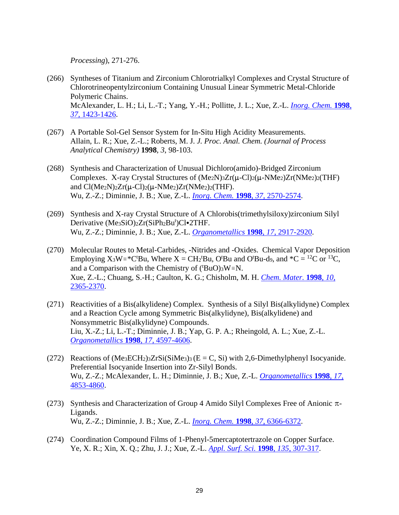*Processing*), 271-276.

- (266) Syntheses of Titanium and Zirconium Chlorotrialkyl Complexes and Crystal Structure of Chlorotrineopentylzirconium Containing Unusual Linear Symmetric Metal-Chloride Polymeric Chains. McAlexander, L. H.; Li, L.-T.; Yang, Y.-H.; Pollitte, J. L.; Xue, Z.-L. *[Inorg. Chem.](http://dx.doi.org/10.1021/ic971407g)* **1998**, *37*[, 1423-1426.](http://dx.doi.org/10.1021/ic971407g)
- (267) A Portable Sol-Gel Sensor System for In-Situ High Acidity Measurements. Allain, L. R.; Xue, Z.-L.; Roberts, M. J. *J. Proc. Anal. Chem. (Journal of Process Analytical Chemistry)* **1998**, *3*, 98-103.
- (268) Synthesis and Characterization of Unusual Dichloro(amido)-Bridged Zirconium Complexes. X-ray Crystal Structures of  $(Me_2N)_{3Zr}(\mu$ -Cl)<sub>2</sub>( $\mu$ -NMe<sub>2</sub>)Zr(NMe<sub>2</sub>)<sub>2</sub>(THF) and  $Cl(Me_2N)_2Zr(\mu-Cl)_2(\mu-NMe_2)Zr(NMe_2)_2(THF).$ Wu, Z.-Z.; Diminnie, J. B.; Xue, Z.-L. *[Inorg. Chem.](http://dx.doi.org/10.1021/ic980046h)* **1998**, *37*, 2570-2574.
- (269) Synthesis and X-ray Crystal Structure of A Chlorobis(trimethylsiloxy)zirconium Silyl Derivative (Me3SiO)2Zr(SiPh2Bu<sup>t</sup>)Cl•2THF. Wu, Z.-Z.; Diminnie, J. B.; Xue, Z.-L. *[Organometallics](http://dx.doi.org/10.1021/om980148f)* **1998**, *17*, 2917-2920.
- (270) Molecular Routes to Metal-Carbides, -Nitrides and -Oxides. Chemical Vapor Deposition Employing  $X_3W = *C^tBu$ , Where  $X = CH_2^tBu$ , O<sup>t</sup>Bu and O<sup>t</sup>Bu-d<sub>9</sub>, and  $*C = {}^{12}C$  or  ${}^{13}C$ , and a Comparison with the Chemistry of  $({}^{t}BuO)_{3}W\equiv N$ . Xue, Z.-L.; Chuang, S.-H.; Caulton, K. G.; Chisholm, M. H. *[Chem. Mater.](http://dx.doi.org/10.1021/cm970675%2B)* **1998**, *10*, [2365-2370.](http://dx.doi.org/10.1021/cm970675%2B)
- (271) Reactivities of a Bis(alkylidene) Complex. Synthesis of a Silyl Bis(alkylidyne) Complex and a Reaction Cycle among Symmetric Bis(alkylidyne), Bis(alkylidene) and Nonsymmetric Bis(alkylidyne) Compounds. Liu, X.-Z.; Li, L.-T.; Diminnie, J. B.; Yap, G. P. A.; Rheingold, A. L.; Xue, Z.-L. *[Organometallics](http://dx.doi.org/10.1021/om980652k)* **1998**, *17*, 4597-4606.
- (272) Reactions of  $(Me_3ECH_2)_3ZrSi(SiMe_3)_3(E = C, Si)$  with 2,6-Dimethylphenyl Isocyanide. Preferential Isocyanide Insertion into Zr-Silyl Bonds. Wu, Z.-Z.; McAlexander, L. H.; Diminnie, J. B.; Xue, Z.-L. *[Organometallics](http://dx.doi.org/10.1021/om980485o)* **1998**, *17*, [4853-4860.](http://dx.doi.org/10.1021/om980485o)
- (273) Synthesis and Characterization of Group 4 Amido Silyl Complexes Free of Anionic  $\pi$ -Ligands. Wu, Z.-Z.; Diminnie, J. B.; Xue, Z.-L. *[Inorg. Chem.](http://dx.doi.org/10.1021/ic980821t)* **1998**, *37*, 6366-6372.
- (274) Coordination Compound Films of 1-Phenyl-5mercaptotertrazole on Copper Surface. Ye, X. R.; Xin, X. Q.; Zhu, J. J.; Xue, Z.-L. *[Appl. Surf. Sci.](http://dx.doi.org/10.1016/S0169-4332(98)00301-8)* **1998**, *135*, 307-317.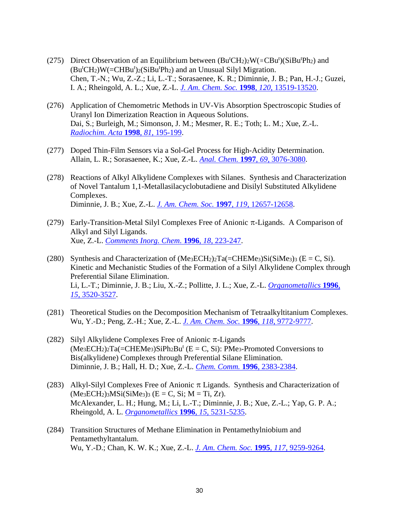- (275) Direct Observation of an Equilibrium between  $(Bu^tCH_2)_2W(\equiv CBu^t)(SiBu^tPh_2)$  and  $(Bu<sup>t</sup>CH<sub>2</sub>)W (=CHBu<sup>t</sup>)<sub>2</sub>(SiBu<sup>t</sup>Ph<sub>2</sub>)$  and an Unusual Silyl Migration. Chen, T.-N.; Wu, Z.-Z.; Li, L.-T.; Sorasaenee, K. R.; Diminnie, J. B.; Pan, H.-J.; Guzei, I. A.; Rheingold, A. L.; Xue, Z.-L. *[J. Am. Chem. Soc.](http://dx.doi.org/10.1021/ja982571l)* **1998**, *120*, 13519-13520.
- (276) Application of Chemometric Methods in UV-Vis Absorption Spectroscopic Studies of Uranyl Ion Dimerization Reaction in Aqueous Solutions. Dai, S.; Burleigh, M.; Simonson, J. M.; Mesmer, R. E.; Toth; L. M.; Xue, Z.-L. *[Radiochim. Acta](http://dx.doi.org/10.1524/ract.1998.81.4.195)* **1998**, *81*, 195-199.
- (277) Doped Thin-Film Sensors via a Sol-Gel Process for High-Acidity Determination. Allain, L. R.; Sorasaenee, K.; Xue, Z.-L. *Anal. Chem.* **1997**, *69*[, 3076-3080.](http://dx.doi.org/10.1021/ac970258g)
- (278) Reactions of Alkyl Alkylidene Complexes with Silanes. Synthesis and Characterization of Novel Tantalum 1,1-Metallasilacyclobutadiene and Disilyl Substituted Alkylidene Complexes. Diminnie, J. B.; Xue, Z.-L. *[J. Am. Chem. Soc.](http://dx.doi.org/10.1021/ja972302f)* **1997**, *119*, 12657-12658.
- (279) Early-Transition-Metal Silyl Complexes Free of Anionic  $\pi$ -Ligands. A Comparison of Alkyl and Silyl Ligands. Xue, Z.-L. *[Comments Inorg. Chem](http://dx.doi.org/10.1080/02603599608032723)*. **1996**, *18*, 223-247.
- (280) Synthesis and Characterization of  $(Me<sub>3</sub>ECH<sub>2</sub>)<sub>2</sub>Ta(=CHEMe<sub>3</sub>)Si(SiMe<sub>3</sub>)<sub>3</sub> (E = C, Si).$ Kinetic and Mechanistic Studies of the Formation of a Silyl Alkylidene Complex through Preferential Silane Elimination. Li, L.-T.; Diminnie, J. B.; Liu, X.-Z.; Pollitte, J. L.; Xue, Z.-L. *[Organometallics](http://dx.doi.org/10.1021/om960382a)* **1996**, *15*[, 3520-3527.](http://dx.doi.org/10.1021/om960382a)
- (281) Theoretical Studies on the Decomposition Mechanism of Tetraalkyltitanium Complexes. Wu, Y.-D.; Peng, Z.-H.; Xue, Z.-L. *[J. Am. Chem. Soc.](http://dx.doi.org/10.1021/ja9615132)* **1996**, *118*, 9772-9777.
- (282) Silyl Alkylidene Complexes Free of Anionic  $\pi$ -Ligands  $(Me<sub>3</sub>ECH<sub>2</sub>)<sub>2</sub>Ta (=CHEMe<sub>3</sub>)SiPh<sub>2</sub>Bu<sup>t</sup> (E = C, Si): PMe<sub>3</sub>-Promoted Conversions to$ Bis(alkylidene) Complexes through Preferential Silane Elimination. Diminnie, J. B.; Hall, H. D.; Xue, Z.-L. *[Chem. Comm.](http://dx.doi.org/10.1039/CC9960002383)* **1996**, 2383-2384.
- (283) Alkyl-Silyl Complexes Free of Anionic  $\pi$  Ligands. Synthesis and Characterization of  $(Me<sub>3</sub>ECH<sub>2</sub>)<sub>3</sub>MSi(SiMe<sub>3</sub>)<sub>3</sub> (E = C, Si; M = Ti, Zr).$ McAlexander, L. H.; Hung, M.; Li, L.-T.; Diminnie, J. B.; Xue, Z.-L.; Yap, G. P. A.; Rheingold, A. L. *[Organometallics](http://dx.doi.org/10.1021/om960813p)* **1996**, *15*, 5231-5235.
- (284) Transition Structures of Methane Elimination in Pentamethylniobium and Pentamethyltantalum. Wu, Y.-D.; Chan, K. W. K.; Xue, Z.-L. *[J. Am. Chem. Soc.](http://dx.doi.org/10.1021/ja00141a018)* **1995**, *117*, 9259-9264.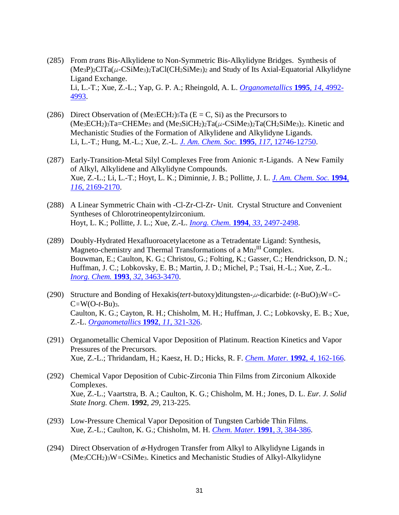- (285) From *trans* Bis-Alkylidene to Non-Symmetric Bis-Alkylidyne Bridges. Synthesis of  $(Me_3P_2C1Ta(\mu$ -CSiMe<sub>3</sub>)<sub>2</sub>TaCl(CH<sub>2</sub>SiMe<sub>3</sub>)<sub>2</sub> and Study of Its Axial-Equatorial Alkylidyne Ligand Exchange. Li, L.-T.; Xue, Z.-L.; Yap, G. P. A.; Rheingold, A. L. *[Organometallics](http://dx.doi.org/10.1021/om00011a009)* **1995**, *14*, 4992- [4993.](http://dx.doi.org/10.1021/om00011a009)
- (286) Direct Observation of  $(Me<sub>3</sub>ECH<sub>2</sub>)<sub>5</sub>Ta (E = C, Si)$  as the Precursors to  $(Me<sub>3</sub>ECH<sub>2</sub>)<sub>3</sub>Ta=CHEMe<sub>3</sub>$  and  $(Me<sub>3</sub>SiCH<sub>2</sub>)<sub>2</sub>Ta( $\mu$ -CSiMe<sub>3</sub>)<sub>2</sub>Ta(CH<sub>2</sub>SiMe<sub>3</sub>)<sub>2</sub>. Kinetic and$ Mechanistic Studies of the Formation of Alkylidene and Alkylidyne Ligands. Li, L.-T.; Hung, M.-L.; Xue, Z.-L. *[J. Am. Chem. Soc.](http://dx.doi.org/10.1021/ja00156a011)* **1995**, *117*, 12746-12750.
- (287) Early-Transition-Metal Silyl Complexes Free from Anionic  $\pi$ -Ligands. A New Family of Alkyl, Alkylidene and Alkylidyne Compounds. Xue, Z.-L.; Li, L.-T.; Hoyt, L. K.; Diminnie, J. B.; Pollitte, J. L. *[J. Am. Chem. Soc.](http://dx.doi.org/10.1021/ja00084a077)* **1994**, *116*[, 2169-2170.](http://dx.doi.org/10.1021/ja00084a077)
- (288) A Linear Symmetric Chain with -Cl-Zr-Cl-Zr- Unit. Crystal Structure and Convenient Syntheses of Chlorotrineopentylzirconium. Hoyt, L. K.; Pollitte, J. L.; Xue, Z.-L. *[Inorg. Chem.](http://dx.doi.org/10.1021/ic00090a001)* **1994**, *33*, 2497-2498.
- (289) Doubly-Hydrated Hexafluoroacetylacetone as a Tetradentate Ligand: Synthesis, Magneto-chemistry and Thermal Transformations of a Mn2<sup>III</sup> Complex. Bouwman, E.; Caulton, K. G.; Christou, G.; Folting, K.; Gasser, C.; Hendrickson, D. N.; Huffman, J. C.; Lobkovsky, E. B.; Martin, J. D.; Michel, P.; Tsai, H.-L.; Xue, Z.-L. *[Inorg. Chem.](http://dx.doi.org/10.1021/ic00068a014)* **1993**, *32*, 3463-3470.
- (290) Structure and Bonding of Hexakis(*tert*-butoxy)ditungsten- $\mu$ -dicarbide: (*t*-BuO)<sub>3</sub>W=C- $C \equiv W(O-t-Bu)$ 3. Caulton, K. G.; Cayton, R. H.; Chisholm, M. H.; Huffman, J. C.; Lobkovsky, E. B.; Xue, Z.-L. *[Organometallics](http://dx.doi.org/10.1021/om00037a055)* **1992**, *11*, 321-326.
- (291) Organometallic Chemical Vapor Deposition of Platinum. Reaction Kinetics and Vapor Pressures of the Precursors. Xue, Z.-L.; Thridandam, H.; Kaesz, H. D.; Hicks, R. F. *[Chem. Mater.](http://dx.doi.org/10.1021/cm00019a032)* **1992**, *4*, 162-166.
- (292) Chemical Vapor Deposition of Cubic-Zirconia Thin Films from Zirconium Alkoxide Complexes. Xue, Z.-L.; Vaartstra, B. A.; Caulton, K. G.; Chisholm, M. H.; Jones, D. L. *Eur. J. Solid State Inorg. Chem*. **1992**, *29*, 213-225.
- (293) Low-Pressure Chemical Vapor Deposition of Tungsten Carbide Thin Films. Xue, Z.-L.; Caulton, K. G.; Chisholm, M. H. *[Chem. Mater](http://dx.doi.org/10.1021/cm00015a004)*. **1991**, *3*, 384-386.
- (294) Direct Observation of  $\alpha$ -Hydrogen Transfer from Alkyl to Alkylidyne Ligands in  $(Me<sub>3</sub>CCH<sub>2</sub>)<sub>3</sub>W \equiv CSiMe<sub>3</sub>$ . Kinetics and Mechanistic Studies of Alkyl-Alkylidyne